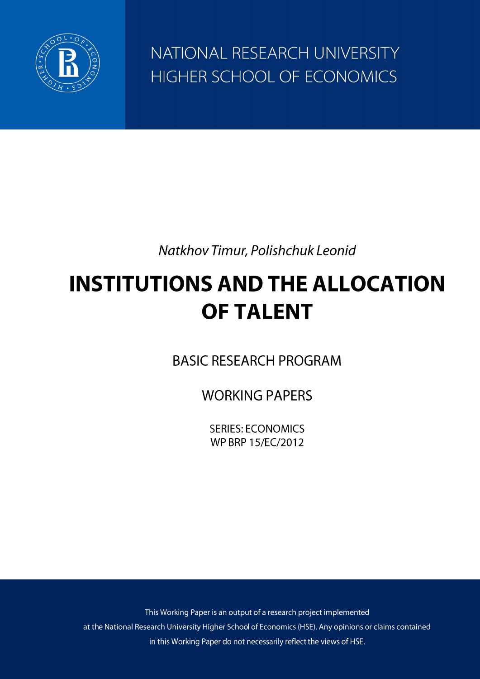

NATIONAL RESEARCH UNIVERSITY HIGHER SCHOOL OF ECONOMICS

Natkhov Timur, Polishchuk Leonid

# **INSTITUTIONS AND THE ALLOCATION OF TALENT**

**BASIC RESEARCH PROGRAM** 

**WORKING PAPERS** 

**SERIES: ECONOMICS** WP BRP 15/EC/2012

This Working Paper is an output of a research project implemented at the National Research University Higher School of Economics (HSE). Any opinions or claims contained in this Working Paper do not necessarily reflect the views of HSE.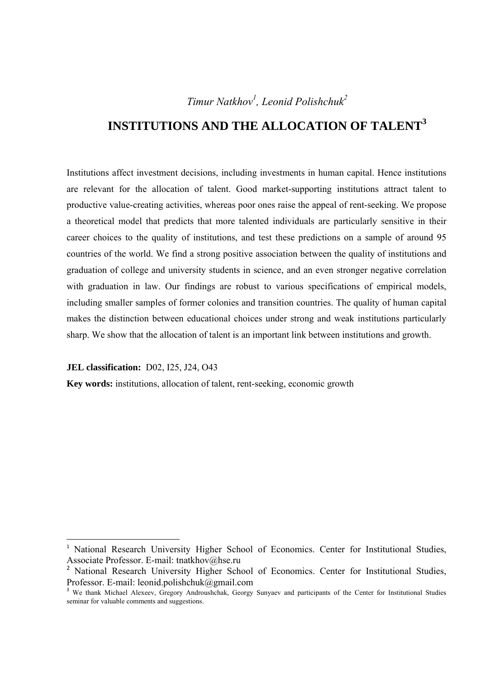## *Timur Natkhov1 , Leonid Polishchuk2*

## **INSTITUTIONS AND THE ALLOCATION OF TALENT<sup>3</sup>**

Institutions affect investment decisions, including investments in human capital. Hence institutions are relevant for the allocation of talent. Good market-supporting institutions attract talent to productive value-creating activities, whereas poor ones raise the appeal of rent-seeking. We propose a theoretical model that predicts that more talented individuals are particularly sensitive in their career choices to the quality of institutions, and test these predictions on a sample of around 95 countries of the world. We find a strong positive association between the quality of institutions and graduation of college and university students in science, and an even stronger negative correlation with graduation in law. Our findings are robust to various specifications of empirical models, including smaller samples of former colonies and transition countries. The quality of human capital makes the distinction between educational choices under strong and weak institutions particularly sharp. We show that the allocation of talent is an important link between institutions and growth.

**JEL classification:** D02, I25, J24, O43

<u> Alexandria de la construcción de la construcción de la construcción de la construcción de la construcción de</u>

**Key words:** institutions, allocation of talent, rent-seeking, economic growth

<sup>&</sup>lt;sup>1</sup> National Research University Higher School of Economics. Center for Institutional Studies, Associate Professor. E-mail: tnatkhov@hse.ru

<sup>&</sup>lt;sup>2</sup> National Research University Higher School of Economics. Center for Institutional Studies, Professor. E-mail: leonid.polishchuk@gmail.com

We thank Michael Alexeev, Gregory Androushchak, Georgy Sunyaev and participants of the Center for Institutional Studies seminar for valuable comments and suggestions.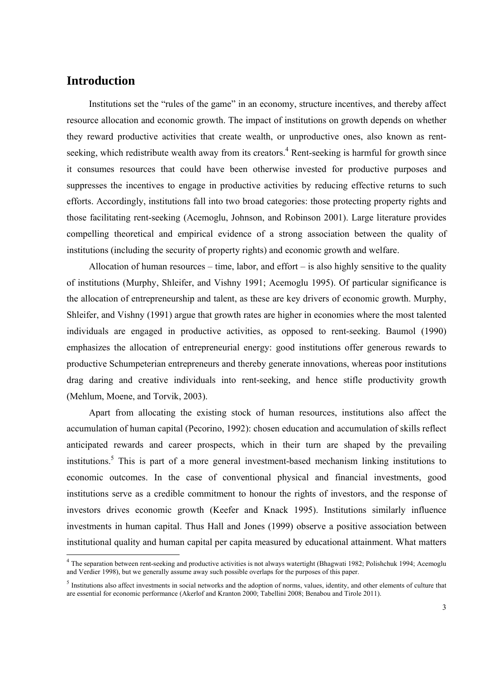## **Introduction**

<u> Alexandria de la construcción de la construcción de la construcción de la construcción de la construcción de</u>

Institutions set the "rules of the game" in an economy, structure incentives, and thereby affect resource allocation and economic growth. The impact of institutions on growth depends on whether they reward productive activities that create wealth, or unproductive ones, also known as rentseeking, which redistribute wealth away from its creators.<sup>4</sup> Rent-seeking is harmful for growth since it consumes resources that could have been otherwise invested for productive purposes and suppresses the incentives to engage in productive activities by reducing effective returns to such efforts. Accordingly, institutions fall into two broad categories: those protecting property rights and those facilitating rent-seeking (Acemoglu, Johnson, and Robinson 2001). Large literature provides compelling theoretical and empirical evidence of a strong association between the quality of institutions (including the security of property rights) and economic growth and welfare.

Allocation of human resources – time, labor, and effort – is also highly sensitive to the quality of institutions (Murphy, Shleifer, and Vishny 1991; Acemoglu 1995). Of particular significance is the allocation of entrepreneurship and talent, as these are key drivers of economic growth. Murphy, Shleifer, and Vishny (1991) argue that growth rates are higher in economies where the most talented individuals are engaged in productive activities, as opposed to rent-seeking. Baumol (1990) emphasizes the allocation of entrepreneurial energy: good institutions offer generous rewards to productive Schumpeterian entrepreneurs and thereby generate innovations, whereas poor institutions drag daring and creative individuals into rent-seeking, and hence stifle productivity growth (Mehlum, Moene, and Torvik, 2003).

Apart from allocating the existing stock of human resources, institutions also affect the accumulation of human capital (Pecorino, 1992): chosen education and accumulation of skills reflect anticipated rewards and career prospects, which in their turn are shaped by the prevailing institutions.<sup>5</sup> This is part of a more general investment-based mechanism linking institutions to economic outcomes. In the case of conventional physical and financial investments, good institutions serve as a credible commitment to honour the rights of investors, and the response of investors drives economic growth (Keefer and Knack 1995). Institutions similarly influence investments in human capital. Thus Hall and Jones (1999) observe a positive association between institutional quality and human capital per capita measured by educational attainment. What matters

<sup>&</sup>lt;sup>4</sup> The separation between rent-seeking and productive activities is not always watertight (Bhagwati 1982; Polishchuk 1994; Acemoglu and Verdier 1998), but we generally assume away such possible overlaps for the purposes of this paper.

 $<sup>5</sup>$  Institutions also affect investments in social networks and the adoption of norms, values, identity, and other elements of culture that</sup> are essential for economic performance (Akerlof and Kranton 2000; Tabellini 2008; Benabou and Tirole 2011).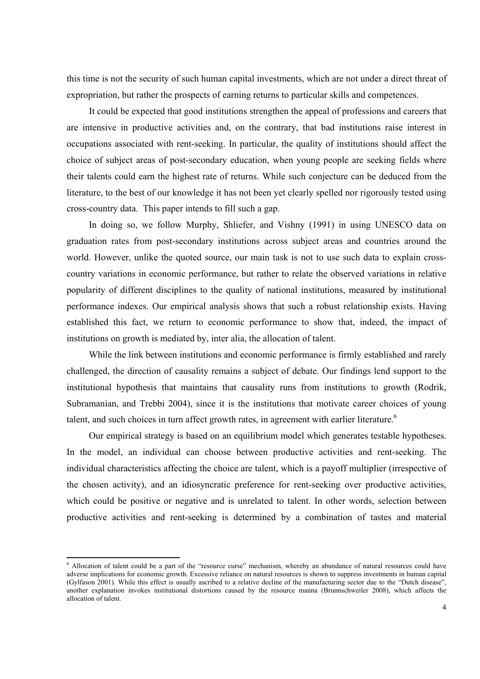this time is not the security of such human capital investments, which are not under a direct threat of expropriation, but rather the prospects of earning returns to particular skills and competences.

It could be expected that good institutions strengthen the appeal of professions and careers that are intensive in productive activities and, on the contrary, that bad institutions raise interest in occupations associated with rent-seeking. In particular, the quality of institutions should affect the choice of subject areas of post-secondary education, when young people are seeking fields where their talents could earn the highest rate of returns. While such conjecture can be deduced from the literature, to the best of our knowledge it has not been yet clearly spelled nor rigorously tested using cross-country data. This paper intends to fill such a gap.

In doing so, we follow Murphy, Shliefer, and Vishny (1991) in using UNESCO data on graduation rates from post-secondary institutions across subject areas and countries around the world. However, unlike the quoted source, our main task is not to use such data to explain crosscountry variations in economic performance, but rather to relate the observed variations in relative popularity of different disciplines to the quality of national institutions, measured by institutional performance indexes. Our empirical analysis shows that such a robust relationship exists. Having established this fact, we return to economic performance to show that, indeed, the impact of institutions on growth is mediated by, inter alia, the allocation of talent.

While the link between institutions and economic performance is firmly established and rarely challenged, the direction of causality remains a subject of debate. Our findings lend support to the institutional hypothesis that maintains that causality runs from institutions to growth (Rodrik, Subramanian, and Trebbi 2004), since it is the institutions that motivate career choices of young talent, and such choices in turn affect growth rates, in agreement with earlier literature.<sup>6</sup>

Our empirical strategy is based on an equilibrium model which generates testable hypotheses. In the model, an individual can choose between productive activities and rent-seeking. The individual characteristics affecting the choice are talent, which is a payoff multiplier (irrespective of the chosen activity), and an idiosyncratic preference for rent-seeking over productive activities, which could be positive or negative and is unrelated to talent. In other words, selection between productive activities and rent-seeking is determined by a combination of tastes and material

<u> Alexandria de la construcción de la construcción de la construcción de la construcción de la construcción de</u>

<sup>&</sup>lt;sup>6</sup> Allocation of talent could be a part of the "resource curse" mechanism, whereby an abundance of natural resources could have adverse implications for economic growth. Excessive reliance on natural resources is shown to suppress investments in human capital (Gylfason 2001). While this effect is usually ascribed to a relative decline of the manufacturing sector due to the "Dutch disease", another explanation invokes institutional distortions caused by the resource manna (Brunnschweiler 2008), which affects the allocation of talent.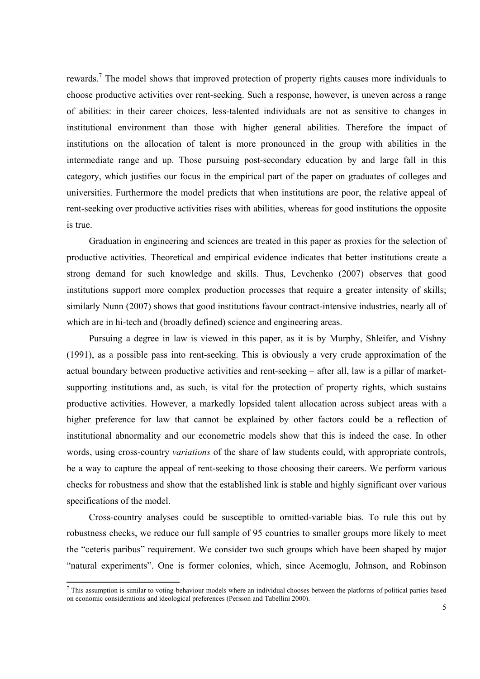rewards.<sup>7</sup> The model shows that improved protection of property rights causes more individuals to choose productive activities over rent-seeking. Such a response, however, is uneven across a range of abilities: in their career choices, less-talented individuals are not as sensitive to changes in institutional environment than those with higher general abilities. Therefore the impact of institutions on the allocation of talent is more pronounced in the group with abilities in the intermediate range and up. Those pursuing post-secondary education by and large fall in this category, which justifies our focus in the empirical part of the paper on graduates of colleges and universities. Furthermore the model predicts that when institutions are poor, the relative appeal of rent-seeking over productive activities rises with abilities, whereas for good institutions the opposite is true.

Graduation in engineering and sciences are treated in this paper as proxies for the selection of productive activities. Theoretical and empirical evidence indicates that better institutions create a strong demand for such knowledge and skills. Thus, Levchenko (2007) observes that good institutions support more complex production processes that require a greater intensity of skills; similarly Nunn (2007) shows that good institutions favour contract-intensive industries, nearly all of which are in hi-tech and (broadly defined) science and engineering areas.

Pursuing a degree in law is viewed in this paper, as it is by Murphy, Shleifer, and Vishny (1991), as a possible pass into rent-seeking. This is obviously a very crude approximation of the actual boundary between productive activities and rent-seeking – after all, law is a pillar of marketsupporting institutions and, as such, is vital for the protection of property rights, which sustains productive activities. However, a markedly lopsided talent allocation across subject areas with a higher preference for law that cannot be explained by other factors could be a reflection of institutional abnormality and our econometric models show that this is indeed the case. In other words, using cross-country *variations* of the share of law students could, with appropriate controls, be a way to capture the appeal of rent-seeking to those choosing their careers. We perform various checks for robustness and show that the established link is stable and highly significant over various specifications of the model.

Cross-country analyses could be susceptible to omitted-variable bias. To rule this out by robustness checks, we reduce our full sample of 95 countries to smaller groups more likely to meet the "ceteris paribus" requirement. We consider two such groups which have been shaped by major "natural experiments". One is former colonies, which, since Acemoglu, Johnson, and Robinson

This assumption is similar to voting-behaviour models where an individual chooses between the platforms of political parties based on economic considerations and ideological preferences (Persson and Tabellini 2000).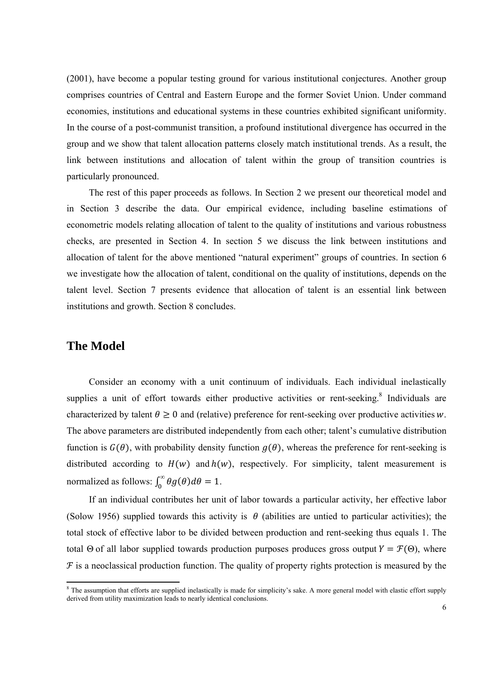(2001), have become a popular testing ground for various institutional conjectures. Another group comprises countries of Central and Eastern Europe and the former Soviet Union. Under command economies, institutions and educational systems in these countries exhibited significant uniformity. In the course of a post-communist transition, a profound institutional divergence has occurred in the group and we show that talent allocation patterns closely match institutional trends. As a result, the link between institutions and allocation of talent within the group of transition countries is particularly pronounced.

The rest of this paper proceeds as follows. In Section 2 we present our theoretical model and in Section 3 describe the data. Our empirical evidence, including baseline estimations of econometric models relating allocation of talent to the quality of institutions and various robustness checks, are presented in Section 4. In section 5 we discuss the link between institutions and allocation of talent for the above mentioned "natural experiment" groups of countries. In section 6 we investigate how the allocation of talent, conditional on the quality of institutions, depends on the talent level. Section 7 presents evidence that allocation of talent is an essential link between institutions and growth. Section 8 concludes.

## **The Model**

Consider an economy with a unit continuum of individuals. Each individual inelastically supplies a unit of effort towards either productive activities or rent-seeking. $8$  Individuals are characterized by talent  $\theta \ge 0$  and (relative) preference for rent-seeking over productive activities w. The above parameters are distributed independently from each other; talent's cumulative distribution function is  $G(\theta)$ , with probability density function  $g(\theta)$ , whereas the preference for rent-seeking is distributed according to  $H(w)$  and  $h(w)$ , respectively. For simplicity, talent measurement is normalized as follows:  $\int_0^\infty \theta g(\theta) d\theta = 1$ .

If an individual contributes her unit of labor towards a particular activity, her effective labor (Solow 1956) supplied towards this activity is  $\theta$  (abilities are untied to particular activities); the total stock of effective labor to be divided between production and rent-seeking thus equals 1. The total Θ of all labor supplied towards production purposes produces gross output  $Y = \mathcal{F}(\Theta)$ , where  $F$  is a neoclassical production function. The quality of property rights protection is measured by the

The assumption that efforts are supplied inelastically is made for simplicity's sake. A more general model with elastic effort supply derived from utility maximization leads to nearly identical conclusions.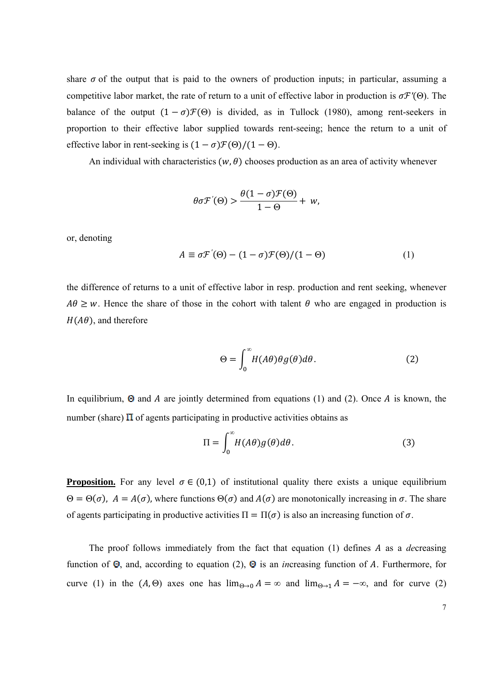share  $\sigma$  of the output that is paid to the owners of production inputs; in particular, assuming a competitive labor market, the rate of return to a unit of effective labor in production is  $\sigma \mathcal{F}'(\Theta)$ . The balance of the output  $(1 - \sigma) \mathcal{F}(\Theta)$  is divided, as in Tullock (1980), among rent-seekers in proportion to their effective labor supplied towards rent-seeing; hence the return to a unit of effective labor in rent-seeking is  $(1 - \sigma) \mathcal{F}(\Theta) / (1 - \Theta)$ .

An individual with characteristics  $(w, \theta)$  chooses production as an area of activity whenever

$$
\theta \sigma \mathcal{F}'(\Theta) > \frac{\theta (1 - \sigma) \mathcal{F}(\Theta)}{1 - \Theta} + w,
$$

or, denoting

$$
A \equiv \sigma \mathcal{F}'(\Theta) - (1 - \sigma) \mathcal{F}(\Theta) / (1 - \Theta) \tag{1}
$$

the difference of returns to a unit of effective labor in resp. production and rent seeking, whenever  $A\theta \geq w$ . Hence the share of those in the cohort with talent  $\theta$  who are engaged in production is  $H(A\theta)$ , and therefore

$$
\Theta = \int_0^\infty H(A\theta)\theta g(\theta)d\theta.
$$
 (2)

In equilibrium,  $\Theta$  and A are jointly determined from equations (1) and (2). Once A is known, the number (share)  $\Pi$  of agents participating in productive activities obtains as

$$
\Pi = \int_0^\infty H(A\theta)g(\theta)d\theta.
$$
 (3)

**Proposition.** For any level  $\sigma \in (0,1)$  of institutional quality there exists a unique equilibrium  $Θ = Θ(σ)$ ,  $A = A(σ)$ , where functions  $Θ(σ)$  and  $A(σ)$  are monotonically increasing in  $σ$ . The share of agents participating in productive activities  $\Pi = \Pi(\sigma)$  is also an increasing function of  $\sigma$ .

The proof follows immediately from the fact that equation (1) defines A as a *decreasing* function of  $\Theta$ , and, according to equation (2),  $\Theta$  is an *in*creasing function of A. Furthermore, for curve (1) in the  $(A, \Theta)$  axes one has  $\lim_{\Theta \to 0} A = \infty$  and  $\lim_{\Theta \to 1} A = -\infty$ , and for curve (2)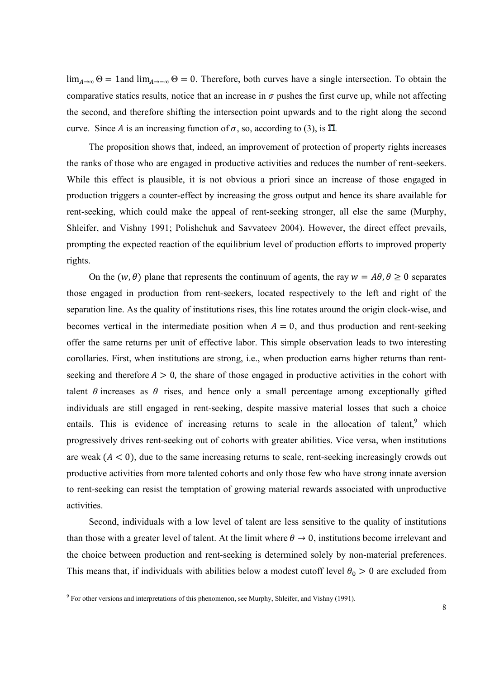$\lim_{A\to\infty} \Theta = 1$  and  $\lim_{A\to\infty} \Theta = 0$ . Therefore, both curves have a single intersection. To obtain the comparative statics results, notice that an increase in  $\sigma$  pushes the first curve up, while not affecting the second, and therefore shifting the intersection point upwards and to the right along the second curve. Since A is an increasing function of  $\sigma$ , so, according to (3), is  $\Pi$ .

The proposition shows that, indeed, an improvement of protection of property rights increases the ranks of those who are engaged in productive activities and reduces the number of rent-seekers. While this effect is plausible, it is not obvious a priori since an increase of those engaged in production triggers a counter-effect by increasing the gross output and hence its share available for rent-seeking, which could make the appeal of rent-seeking stronger, all else the same (Murphy, Shleifer, and Vishny 1991; Polishchuk and Savvateev 2004). However, the direct effect prevails, prompting the expected reaction of the equilibrium level of production efforts to improved property rights.

On the  $(w, \theta)$  plane that represents the continuum of agents, the ray  $w = A\theta$ ,  $\theta \ge 0$  separates those engaged in production from rent-seekers, located respectively to the left and right of the separation line. As the quality of institutions rises, this line rotates around the origin clock-wise, and becomes vertical in the intermediate position when  $A = 0$ , and thus production and rent-seeking offer the same returns per unit of effective labor. This simple observation leads to two interesting corollaries. First, when institutions are strong, i.e., when production earns higher returns than rentseeking and therefore  $A > 0$ , the share of those engaged in productive activities in the cohort with talent  $\theta$  increases as  $\theta$  rises, and hence only a small percentage among exceptionally gifted individuals are still engaged in rent-seeking, despite massive material losses that such a choice entails. This is evidence of increasing returns to scale in the allocation of talent,<sup>9</sup> which progressively drives rent-seeking out of cohorts with greater abilities. Vice versa, when institutions are weak  $(A < 0)$ , due to the same increasing returns to scale, rent-seeking increasingly crowds out productive activities from more talented cohorts and only those few who have strong innate aversion to rent-seeking can resist the temptation of growing material rewards associated with unproductive activities.

Second, individuals with a low level of talent are less sensitive to the quality of institutions than those with a greater level of talent. At the limit where  $\theta \to 0$ , institutions become irrelevant and the choice between production and rent-seeking is determined solely by non-material preferences. This means that, if individuals with abilities below a modest cutoff level  $\theta_0 > 0$  are excluded from

 9 For other versions and interpretations of this phenomenon, see Murphy, Shleifer, and Vishny (1991).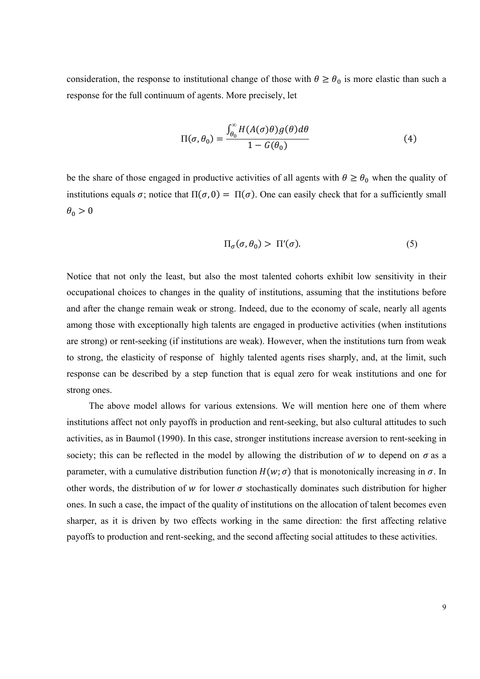consideration, the response to institutional change of those with  $\theta \ge \theta_0$  is more elastic than such a response for the full continuum of agents. More precisely, let

$$
\Pi(\sigma,\theta_0) = \frac{\int_{\theta_0}^{\infty} H(A(\sigma)\theta)g(\theta)d\theta}{1 - G(\theta_0)}
$$
(4)

be the share of those engaged in productive activities of all agents with  $\theta \ge \theta_0$  when the quality of institutions equals  $\sigma$ ; notice that  $\Pi(\sigma, 0) = \Pi(\sigma)$ . One can easily check that for a sufficiently small  $\theta_0 > 0$ 

$$
\Pi_{\sigma}(\sigma,\theta_0) > \Pi'(\sigma). \tag{5}
$$

Notice that not only the least, but also the most talented cohorts exhibit low sensitivity in their occupational choices to changes in the quality of institutions, assuming that the institutions before and after the change remain weak or strong. Indeed, due to the economy of scale, nearly all agents among those with exceptionally high talents are engaged in productive activities (when institutions are strong) or rent-seeking (if institutions are weak). However, when the institutions turn from weak to strong, the elasticity of response of highly talented agents rises sharply, and, at the limit, such response can be described by a step function that is equal zero for weak institutions and one for strong ones.

The above model allows for various extensions. We will mention here one of them where institutions affect not only payoffs in production and rent-seeking, but also cultural attitudes to such activities, as in Baumol (1990). In this case, stronger institutions increase aversion to rent-seeking in society; this can be reflected in the model by allowing the distribution of w to depend on  $\sigma$  as a parameter, with a cumulative distribution function  $H(w; \sigma)$  that is monotonically increasing in  $\sigma$ . In other words, the distribution of w for lower  $\sigma$  stochastically dominates such distribution for higher ones. In such a case, the impact of the quality of institutions on the allocation of talent becomes even sharper, as it is driven by two effects working in the same direction: the first affecting relative payoffs to production and rent-seeking, and the second affecting social attitudes to these activities.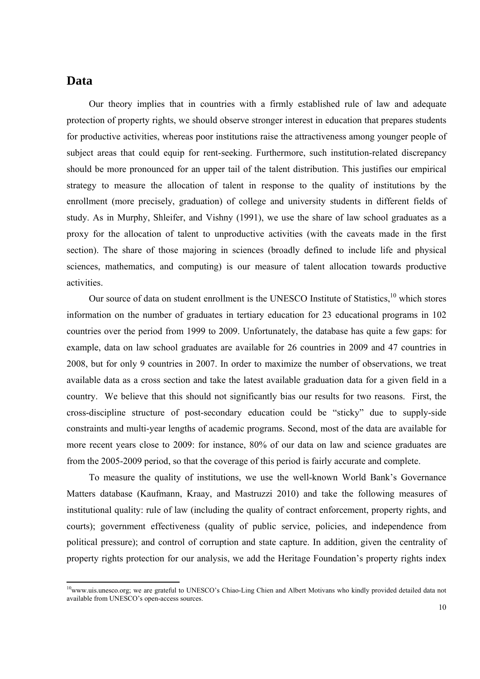## **Data**

Our theory implies that in countries with a firmly established rule of law and adequate protection of property rights, we should observe stronger interest in education that prepares students for productive activities, whereas poor institutions raise the attractiveness among younger people of subject areas that could equip for rent-seeking. Furthermore, such institution-related discrepancy should be more pronounced for an upper tail of the talent distribution. This justifies our empirical strategy to measure the allocation of talent in response to the quality of institutions by the enrollment (more precisely, graduation) of college and university students in different fields of study. As in Murphy, Shleifer, and Vishny (1991), we use the share of law school graduates as a proxy for the allocation of talent to unproductive activities (with the caveats made in the first section). The share of those majoring in sciences (broadly defined to include life and physical sciences, mathematics, and computing) is our measure of talent allocation towards productive activities.

Our source of data on student enrollment is the UNESCO Institute of Statistics.<sup>10</sup> which stores information on the number of graduates in tertiary education for 23 educational programs in 102 countries over the period from 1999 to 2009. Unfortunately, the database has quite a few gaps: for example, data on law school graduates are available for 26 countries in 2009 and 47 countries in 2008, but for only 9 countries in 2007. In order to maximize the number of observations, we treat available data as a cross section and take the latest available graduation data for a given field in a country. We believe that this should not significantly bias our results for two reasons. First, the cross-discipline structure of post-secondary education could be "sticky" due to supply-side constraints and multi-year lengths of academic programs. Second, most of the data are available for more recent years close to 2009: for instance, 80% of our data on law and science graduates are from the 2005-2009 period, so that the coverage of this period is fairly accurate and complete.

To measure the quality of institutions, we use the well-known World Bank's Governance Matters database (Kaufmann, Kraay, and Mastruzzi 2010) and take the following measures of institutional quality: rule of law (including the quality of contract enforcement, property rights, and courts); government effectiveness (quality of public service, policies, and independence from political pressure); and control of corruption and state capture. In addition, given the centrality of property rights protection for our analysis, we add the Heritage Foundation's property rights index

 $10<sub>www.uis.unesco.org</sub>$ ; we are grateful to UNESCO's Chiao-Ling Chien and Albert Motivans who kindly provided detailed data not available from UNESCO's open-access sources.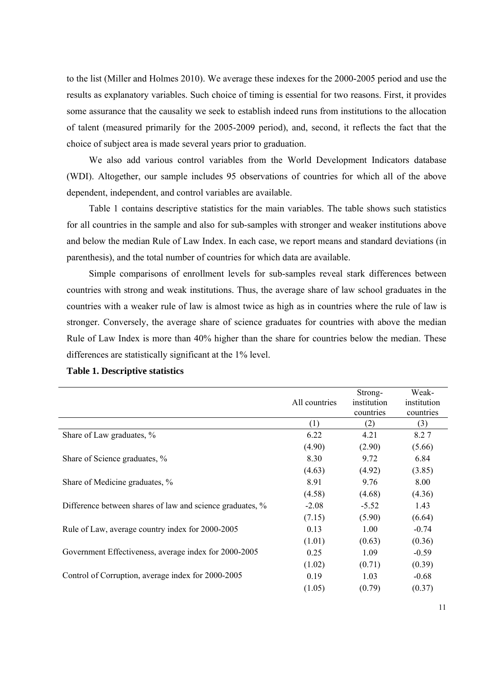to the list (Miller and Holmes 2010). We average these indexes for the 2000-2005 period and use the results as explanatory variables. Such choice of timing is essential for two reasons. First, it provides some assurance that the causality we seek to establish indeed runs from institutions to the allocation of talent (measured primarily for the 2005-2009 period), and, second, it reflects the fact that the choice of subject area is made several years prior to graduation.

We also add various control variables from the World Development Indicators database (WDI). Altogether, our sample includes 95 observations of countries for which all of the above dependent, independent, and control variables are available.

Table 1 contains descriptive statistics for the main variables. The table shows such statistics for all countries in the sample and also for sub-samples with stronger and weaker institutions above and below the median Rule of Law Index. In each case, we report means and standard deviations (in parenthesis), and the total number of countries for which data are available.

Simple comparisons of enrollment levels for sub-samples reveal stark differences between countries with strong and weak institutions. Thus, the average share of law school graduates in the countries with a weaker rule of law is almost twice as high as in countries where the rule of law is stronger. Conversely, the average share of science graduates for countries with above the median Rule of Law Index is more than 40% higher than the share for countries below the median. These differences are statistically significant at the 1% level.

|                                                           | All countries | Strong-<br>institution<br>countries | Weak-<br>institution<br>countries |
|-----------------------------------------------------------|---------------|-------------------------------------|-----------------------------------|
|                                                           | (1)           | (2)                                 | (3)                               |
| Share of Law graduates, %                                 | 6.22          | 4.21                                | 8.27                              |
|                                                           | (4.90)        | (2.90)                              | (5.66)                            |
| Share of Science graduates, %                             | 8.30          | 9.72                                | 6.84                              |
|                                                           | (4.63)        | (4.92)                              | (3.85)                            |
| Share of Medicine graduates, %                            | 8.91          | 9.76                                | 8.00                              |
|                                                           | (4.58)        | (4.68)                              | (4.36)                            |
| Difference between shares of law and science graduates, % | $-2.08$       | $-5.52$                             | 1.43                              |
|                                                           | (7.15)        | (5.90)                              | (6.64)                            |
| Rule of Law, average country index for 2000-2005          | 0.13          | 1.00                                | $-0.74$                           |
|                                                           | (1.01)        | (0.63)                              | (0.36)                            |
| Government Effectiveness, average index for 2000-2005     | 0.25          | 1.09                                | $-0.59$                           |
|                                                           | (1.02)        | (0.71)                              | (0.39)                            |
| Control of Corruption, average index for 2000-2005        | 0.19          | 1.03                                | $-0.68$                           |
|                                                           | (1.05)        | (0.79)                              | (0.37)                            |

#### **Table 1. Descriptive statistics**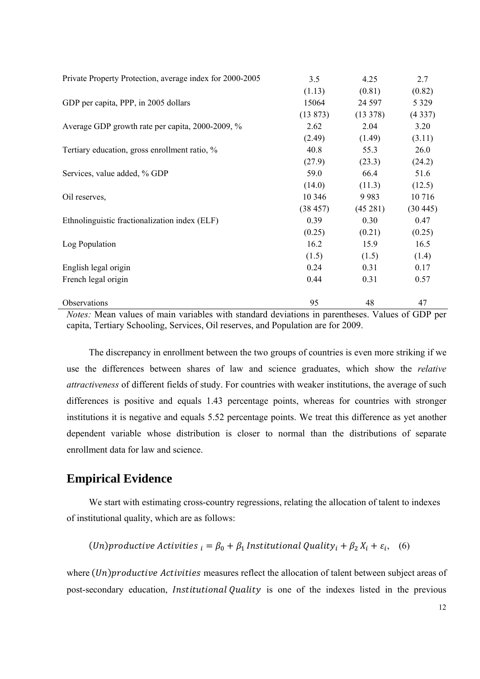| Private Property Protection, average index for 2000-2005 | 3.5      | 4.25        | 2.7     |
|----------------------------------------------------------|----------|-------------|---------|
|                                                          | (1.13)   | (0.81)      | (0.82)  |
| GDP per capita, PPP, in 2005 dollars                     | 15064    | 24 5 97     | 5 3 2 9 |
|                                                          | (13 873) | $(13\,378)$ | (4337)  |
| Average GDP growth rate per capita, 2000-2009, %         | 2.62     | 2.04        | 3.20    |
|                                                          | (2.49)   | (1.49)      | (3.11)  |
| Tertiary education, gross enrollment ratio, %            | 40.8     | 55.3        | 26.0    |
|                                                          | (27.9)   | (23.3)      | (24.2)  |
| Services, value added, % GDP                             | 59.0     | 66.4        | 51.6    |
|                                                          | (14.0)   | (11.3)      | (12.5)  |
| Oil reserves,                                            | 10 346   | 9983        | 10716   |
|                                                          | (38457)  | (45281)     | (30445) |
| Ethnolinguistic fractionalization index (ELF)            | 0.39     | 0.30        | 0.47    |
|                                                          | (0.25)   | (0.21)      | (0.25)  |
| Log Population                                           | 16.2     | 15.9        | 16.5    |
|                                                          | (1.5)    | (1.5)       | (1.4)   |
| English legal origin                                     | 0.24     | 0.31        | 0.17    |
| French legal origin                                      | 0.44     | 0.31        | 0.57    |
| Observations                                             | 95       | 48          | 47      |

*Notes:* Mean values of main variables with standard deviations in parentheses. Values of GDP per capita, Tertiary Schooling, Services, Oil reserves, and Population are for 2009.

The discrepancy in enrollment between the two groups of countries is even more striking if we use the differences between shares of law and science graduates, which show the *relative attractiveness* of different fields of study. For countries with weaker institutions, the average of such differences is positive and equals 1.43 percentage points, whereas for countries with stronger institutions it is negative and equals 5.52 percentage points. We treat this difference as yet another dependent variable whose distribution is closer to normal than the distributions of separate enrollment data for law and science.

## **Empirical Evidence**

We start with estimating cross-country regressions, relating the allocation of talent to indexes of institutional quality, which are as follows:

$$
(Un) productive Activities_{i} = \beta_0 + \beta_1 Institutional Quality_i + \beta_2 X_i + \varepsilon_i, (6)
$$

where  $(Un)$ *productive Activities* measures reflect the allocation of talent between subject areas of post-secondary education, *Institutional Quality* is one of the indexes listed in the previous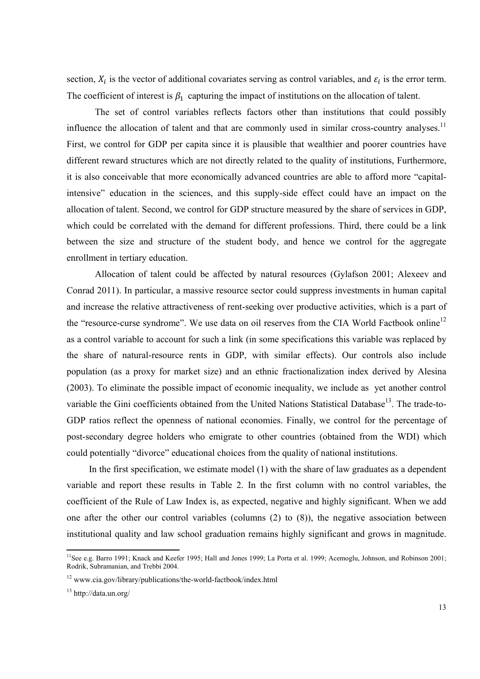section,  $X_i$  is the vector of additional covariates serving as control variables, and  $\varepsilon_i$  is the error term. The coefficient of interest is  $\beta_1$  capturing the impact of institutions on the allocation of talent.

 The set of control variables reflects factors other than institutions that could possibly influence the allocation of talent and that are commonly used in similar cross-country analyses.<sup>11</sup> First, we control for GDP per capita since it is plausible that wealthier and poorer countries have different reward structures which are not directly related to the quality of institutions, Furthermore, it is also conceivable that more economically advanced countries are able to afford more "capitalintensive" education in the sciences, and this supply-side effect could have an impact on the allocation of talent. Second, we control for GDP structure measured by the share of services in GDP, which could be correlated with the demand for different professions. Third, there could be a link between the size and structure of the student body, and hence we control for the aggregate enrollment in tertiary education.

 Allocation of talent could be affected by natural resources (Gylafson 2001; Alexeev and Conrad 2011). In particular, a massive resource sector could suppress investments in human capital and increase the relative attractiveness of rent-seeking over productive activities, which is a part of the "resource-curse syndrome". We use data on oil reserves from the CIA World Factbook online<sup>12</sup> as a control variable to account for such a link (in some specifications this variable was replaced by the share of natural-resource rents in GDP, with similar effects). Our controls also include population (as a proxy for market size) and an ethnic fractionalization index derived by Alesina (2003). To eliminate the possible impact of economic inequality, we include as yet another control variable the Gini coefficients obtained from the United Nations Statistical Database<sup>13</sup>. The trade-to-GDP ratios reflect the openness of national economies. Finally, we control for the percentage of post-secondary degree holders who emigrate to other countries (obtained from the WDI) which could potentially "divorce" educational choices from the quality of national institutions.

In the first specification, we estimate model (1) with the share of law graduates as a dependent variable and report these results in Table 2. In the first column with no control variables, the coefficient of the Rule of Law Index is, as expected, negative and highly significant. When we add one after the other our control variables (columns (2) to (8)), the negative association between institutional quality and law school graduation remains highly significant and grows in magnitude.

<u> Alexandria de la construcción de la construcción de la construcción de la construcción de la construcción de</u>

<sup>11</sup>See e.g. Barro 1991; Knack and Keefer 1995; Hall and Jones 1999; La Porta et al. 1999; Acemoglu, Johnson, and Robinson 2001; Rodrik, Subramanian, and Trebbi 2004.

<sup>12</sup> www.cia.gov/library/publications/the-world-factbook/index.html

<sup>13</sup> http://data.un.org/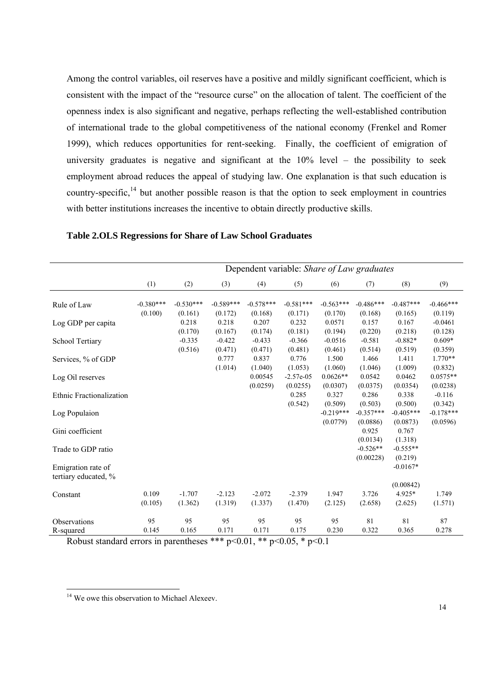Among the control variables, oil reserves have a positive and mildly significant coefficient, which is consistent with the impact of the "resource curse" on the allocation of talent. The coefficient of the openness index is also significant and negative, perhaps reflecting the well-established contribution of international trade to the global competitiveness of the national economy (Frenkel and Romer 1999), which reduces opportunities for rent-seeking. Finally, the coefficient of emigration of university graduates is negative and significant at the  $10\%$  level – the possibility to seek employment abroad reduces the appeal of studying law. One explanation is that such education is country-specific,  $14$  but another possible reason is that the option to seek employment in countries with better institutions increases the incentive to obtain directly productive skills.

|                                            | Dependent variable: Share of Law graduates |                             |                             |                             |                             |                              |                             |                             |                                 |
|--------------------------------------------|--------------------------------------------|-----------------------------|-----------------------------|-----------------------------|-----------------------------|------------------------------|-----------------------------|-----------------------------|---------------------------------|
|                                            | (1)                                        | (2)                         | (3)                         | (4)                         | (5)                         | (6)                          | (7)                         | (8)                         | (9)                             |
| Rule of Law                                | $-0.380***$                                | $-0.530***$                 | $-0.589***$                 | $-0.578***$                 | $-0.581***$                 | $-0.563***$                  | $-0.486***$                 | $-0.487***$                 | $-0.466***$                     |
| Log GDP per capita                         | (0.100)                                    | (0.161)<br>0.218<br>(0.170) | (0.172)<br>0.218<br>(0.167) | (0.168)<br>0.207<br>(0.174) | (0.171)<br>0.232<br>(0.181) | (0.170)<br>0.0571<br>(0.194) | (0.168)<br>0.157<br>(0.220) | (0.165)<br>0.167<br>(0.218) | (0.119)<br>$-0.0461$<br>(0.128) |
| School Tertiary                            |                                            | $-0.335$<br>(0.516)         | $-0.422$<br>(0.471)         | $-0.433$<br>(0.471)         | $-0.366$<br>(0.481)         | $-0.0516$<br>(0.461)         | $-0.581$<br>(0.514)         | $-0.882*$<br>(0.519)        | $0.609*$<br>(0.359)             |
| Services, % of GDP                         |                                            |                             | 0.777<br>(1.014)            | 0.837<br>(1.040)            | 0.776<br>(1.053)            | 1.500<br>(1.060)             | 1.466<br>(1.046)            | 1.411<br>(1.009)            | $1.770**$<br>(0.832)            |
| Log Oil reserves                           |                                            |                             |                             | 0.00545<br>(0.0259)         | $-2.57e-0.5$<br>(0.0255)    | $0.0626**$<br>(0.0307)       | 0.0542<br>(0.0375)          | 0.0462<br>(0.0354)          | $0.0575**$<br>(0.0238)          |
| Ethnic Fractionalization                   |                                            |                             |                             |                             | 0.285<br>(0.542)            | 0.327<br>(0.509)             | 0.286<br>(0.503)            | 0.338<br>(0.500)            | $-0.116$<br>(0.342)             |
| Log Populaion                              |                                            |                             |                             |                             |                             | $-0.219***$<br>(0.0779)      | $-0.357***$<br>(0.0886)     | $-0.405***$<br>(0.0873)     | $-0.178***$<br>(0.0596)         |
| Gini coefficient                           |                                            |                             |                             |                             |                             |                              | 0.925<br>(0.0134)           | 0.767<br>(1.318)            |                                 |
| Trade to GDP ratio                         |                                            |                             |                             |                             |                             |                              | $-0.526**$<br>(0.00228)     | $-0.555**$<br>(0.219)       |                                 |
| Emigration rate of<br>tertiary educated, % |                                            |                             |                             |                             |                             |                              |                             | $-0.0167*$                  |                                 |
| Constant                                   | 0.109                                      | $-1.707$                    | $-2.123$                    | $-2.072$                    | $-2.379$                    | 1.947                        | 3.726                       | (0.00842)<br>4.925*         | 1.749                           |
|                                            | (0.105)                                    | (1.362)                     | (1.319)                     | (1.337)                     | (1.470)                     | (2.125)                      | (2.658)                     | (2.625)                     | (1.571)                         |
| Observations<br>R-squared                  | 95<br>0.145                                | 95<br>0.165                 | 95<br>0.171                 | 95<br>0.171                 | 95<br>0.175                 | 95<br>0.230                  | 81<br>0.322                 | 81<br>0.365                 | 87<br>0.278                     |

**Table 2.OLS Regressions for Share of Law School Graduates** 

Robust standard errors in parentheses \*\*\*  $p<0.01$ , \*\*  $p<0.05$ , \*  $p<0.1$ 

<sup>&</sup>lt;sup>14</sup> We owe this observation to Michael Alexeev.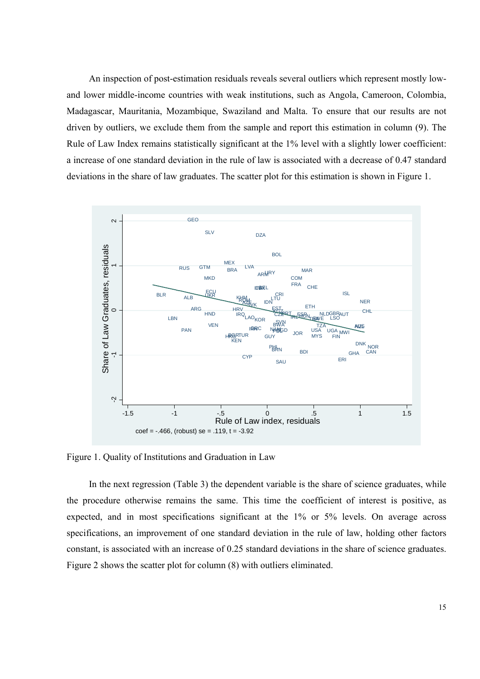An inspection of post-estimation residuals reveals several outliers which represent mostly lowand lower middle-income countries with weak institutions, such as Angola, Cameroon, Colombia, Madagascar, Mauritania, Mozambique, Swaziland and Malta. To ensure that our results are not driven by outliers, we exclude them from the sample and report this estimation in column (9). The Rule of Law Index remains statistically significant at the 1% level with a slightly lower coefficient: a increase of one standard deviation in the rule of law is associated with a decrease of 0.47 standard deviations in the share of law graduates. The scatter plot for this estimation is shown in Figure 1.



Figure 1. Quality of Institutions and Graduation in Law

In the next regression (Table 3) the dependent variable is the share of science graduates, while the procedure otherwise remains the same. This time the coefficient of interest is positive, as expected, and in most specifications significant at the 1% or 5% levels. On average across specifications, an improvement of one standard deviation in the rule of law, holding other factors constant, is associated with an increase of 0.25 standard deviations in the share of science graduates. Figure 2 shows the scatter plot for column (8) with outliers eliminated.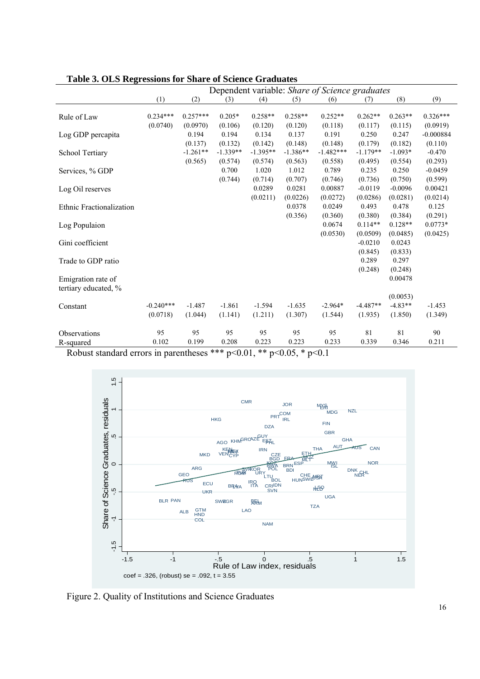|                                            | Tubic of OLD INGLESSIONS for Share of Science Graduates<br>Dependent variable: Share of Science graduates |                        |                       |                       |                       |                        |                       |                       |                        |
|--------------------------------------------|-----------------------------------------------------------------------------------------------------------|------------------------|-----------------------|-----------------------|-----------------------|------------------------|-----------------------|-----------------------|------------------------|
|                                            | (1)                                                                                                       | (2)                    | (3)                   | (4)                   | (5)                   | (6)                    | (7)                   | (8)                   | (9)                    |
| Rule of Law                                | $0.234***$<br>(0.0740)                                                                                    | $0.257***$<br>(0.0970) | $0.205*$<br>(0.106)   | $0.258**$<br>(0.120)  | $0.258**$<br>(0.120)  | $0.252**$<br>(0.118)   | $0.262**$<br>(0.117)  | $0.263**$<br>(0.115)  | $0.326***$<br>(0.0919) |
| Log GDP percapita                          |                                                                                                           | 0.194<br>(0.137)       | 0.194<br>(0.132)      | 0.134<br>(0.142)      | 0.137<br>(0.148)      | 0.191<br>(0.148)       | 0.250<br>(0.179)      | 0.247<br>(0.182)      | $-0.000884$<br>(0.110) |
| School Tertiary                            |                                                                                                           | $-1.261**$<br>(0.565)  | $-1.339**$<br>(0.574) | $-1.395**$<br>(0.574) | $-1.386**$<br>(0.563) | $-1.482***$<br>(0.558) | $-1.179**$<br>(0.495) | $-1.093*$<br>(0.554)  | $-0.470$<br>(0.293)    |
| Services, % GDP                            |                                                                                                           |                        | 0.700<br>(0.744)      | 1.020<br>(0.714)      | 1.012<br>(0.707)      | 0.789<br>(0.746)       | 0.235<br>(0.736)      | 0.250<br>(0.750)      | $-0.0459$<br>(0.599)   |
| Log Oil reserves                           |                                                                                                           |                        |                       | 0.0289<br>(0.0211)    | 0.0281<br>(0.0226)    | 0.00887<br>(0.0272)    | $-0.0119$<br>(0.0286) | $-0.0096$<br>(0.0281) | 0.00421<br>(0.0214)    |
| Ethnic Fractionalization                   |                                                                                                           |                        |                       |                       | 0.0378<br>(0.356)     | 0.0249<br>(0.360)      | 0.493<br>(0.380)      | 0.478<br>(0.384)      | 0.125<br>(0.291)       |
| Log Populaion                              |                                                                                                           |                        |                       |                       |                       | 0.0674<br>(0.0530)     | $0.114**$<br>(0.0509) | $0.128**$<br>(0.0485) | $0.0773*$<br>(0.0425)  |
| Gini coefficient                           |                                                                                                           |                        |                       |                       |                       |                        | $-0.0210$<br>(0.845)  | 0.0243<br>(0.833)     |                        |
| Trade to GDP ratio                         |                                                                                                           |                        |                       |                       |                       |                        | 0.289<br>(0.248)      | 0.297<br>(0.248)      |                        |
| Emigration rate of<br>tertiary educated, % |                                                                                                           |                        |                       |                       |                       |                        |                       | 0.00478<br>(0.0053)   |                        |
| Constant                                   | $-0.240***$<br>(0.0718)                                                                                   | $-1.487$<br>(1.044)    | $-1.861$<br>(1.141)   | $-1.594$<br>(1.211)   | $-1.635$<br>(1.307)   | $-2.964*$<br>(1.544)   | $-4.487**$<br>(1.935) | $-4.83**$<br>(1.850)  | $-1.453$<br>(1.349)    |
| Observations<br>R-squared                  | 95<br>0.102                                                                                               | 95<br>0.199            | 95<br>0.208           | 95<br>0.223           | 95<br>0.223           | 95<br>0.233            | 81<br>0.339           | 81<br>0.346           | 90<br>0.211            |

**Table 3. OLS Regressions for Share of Science Graduates** 

Robust standard errors in parentheses \*\*\* p<0.01, \*\* p<0.05, \* p<0.1



Figure 2. Quality of Institutions and Science Graduates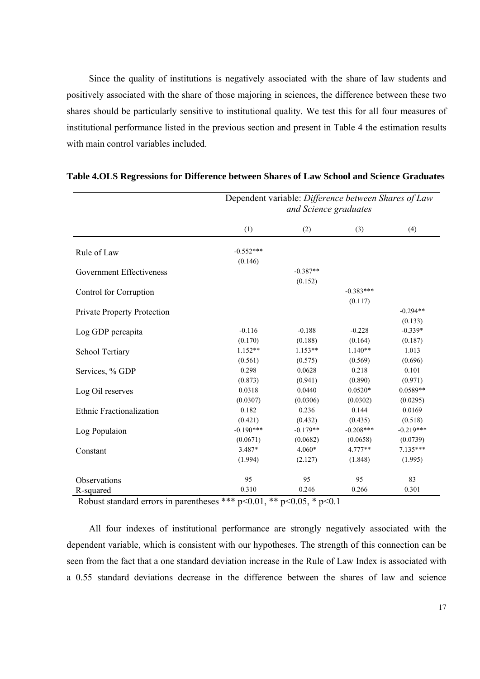Since the quality of institutions is negatively associated with the share of law students and positively associated with the share of those majoring in sciences, the difference between these two shares should be particularly sensitive to institutional quality. We test this for all four measures of institutional performance listed in the previous section and present in Table 4 the estimation results with main control variables included.

|                                 | Dependent variable: Difference between Shares of Law<br>and Science graduates |                      |             |             |  |  |
|---------------------------------|-------------------------------------------------------------------------------|----------------------|-------------|-------------|--|--|
|                                 | (1)                                                                           | (2)                  | (3)         | (4)         |  |  |
| Rule of Law                     | $-0.552***$                                                                   |                      |             |             |  |  |
|                                 | (0.146)                                                                       |                      |             |             |  |  |
| Government Effectiveness        |                                                                               | $-0.387**$           |             |             |  |  |
|                                 |                                                                               | (0.152)              |             |             |  |  |
| Control for Corruption          |                                                                               |                      | $-0.383***$ |             |  |  |
|                                 |                                                                               |                      | (0.117)     |             |  |  |
| Private Property Protection     |                                                                               |                      |             | $-0.294**$  |  |  |
|                                 |                                                                               |                      |             | (0.133)     |  |  |
| Log GDP percapita               | $-0.116$                                                                      | $-0.188$             | $-0.228$    | $-0.339*$   |  |  |
|                                 | (0.170)                                                                       | (0.188)              | (0.164)     | (0.187)     |  |  |
| School Tertiary                 | $1.152**$                                                                     | $1.153**$            | $1.140**$   | 1.013       |  |  |
|                                 | (0.561)                                                                       | (0.575)              | (0.569)     | (0.696)     |  |  |
| Services, % GDP                 | 0.298                                                                         | 0.0628               | 0.218       | 0.101       |  |  |
|                                 | (0.873)                                                                       | (0.941)              | (0.890)     | (0.971)     |  |  |
| Log Oil reserves                | 0.0318                                                                        | 0.0440               | $0.0520*$   | $0.0589**$  |  |  |
|                                 | (0.0307)                                                                      | (0.0306)             | (0.0302)    | (0.0295)    |  |  |
| <b>Ethnic Fractionalization</b> | 0.182                                                                         | 0.236                | 0.144       | 0.0169      |  |  |
|                                 | (0.421)                                                                       | (0.432)              | (0.435)     | (0.518)     |  |  |
| Log Populaion                   | $-0.190***$                                                                   | $-0.179**$           | $-0.208***$ | $-0.219***$ |  |  |
|                                 | (0.0671)                                                                      | (0.0682)             | (0.0658)    | (0.0739)    |  |  |
| Constant                        | 3.487*                                                                        | 4.060*               | $4.777**$   | $7.135***$  |  |  |
|                                 | (1.994)                                                                       | (2.127)              | (1.848)     | (1.995)     |  |  |
| Observations                    | 95                                                                            | 95                   | 95          | 83          |  |  |
| R-squared                       | 0.310                                                                         | 0.246                | 0.266       | 0.301       |  |  |
| n 1 <i>i 1</i> 1                | $\sqrt{1}$<br>مله مله مله<br>$\sqrt{2}$ $\sqrt{1}$ $\sqrt{2}$                 | $\Omega \cap \Gamma$ | $\sim$ 1    |             |  |  |

#### **Table 4.OLS Regressions for Difference between Shares of Law School and Science Graduates**

Robust standard errors in parentheses \*\*\*  $p<0.01$ , \*\*  $p<0.05$ , \*  $p<0.1$ 

All four indexes of institutional performance are strongly negatively associated with the dependent variable, which is consistent with our hypotheses. The strength of this connection can be seen from the fact that a one standard deviation increase in the Rule of Law Index is associated with a 0.55 standard deviations decrease in the difference between the shares of law and science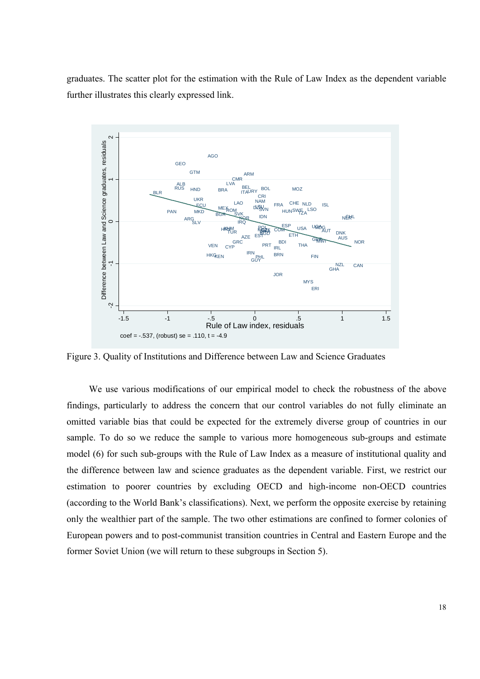graduates. The scatter plot for the estimation with the Rule of Law Index as the dependent variable further illustrates this clearly expressed link.



Figure 3. Quality of Institutions and Difference between Law and Science Graduates

We use various modifications of our empirical model to check the robustness of the above findings, particularly to address the concern that our control variables do not fully eliminate an omitted variable bias that could be expected for the extremely diverse group of countries in our sample. To do so we reduce the sample to various more homogeneous sub-groups and estimate model (6) for such sub-groups with the Rule of Law Index as a measure of institutional quality and the difference between law and science graduates as the dependent variable. First, we restrict our estimation to poorer countries by excluding OECD and high-income non-OECD countries (according to the World Bank's classifications). Next, we perform the opposite exercise by retaining only the wealthier part of the sample. The two other estimations are confined to former colonies of European powers and to post-communist transition countries in Central and Eastern Europe and the former Soviet Union (we will return to these subgroups in Section 5).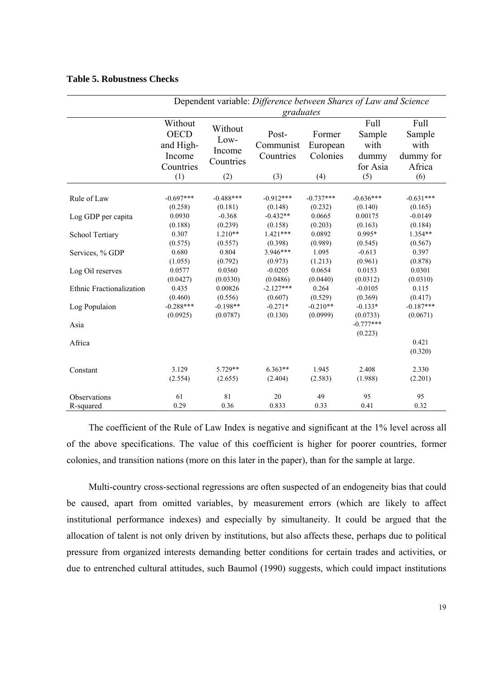#### **Table 5. Robustness Checks**

|                          | Dependent variable: Difference between Shares of Law and Science  |                                               |                                        |                                       |                                                    |                                                      |  |  |
|--------------------------|-------------------------------------------------------------------|-----------------------------------------------|----------------------------------------|---------------------------------------|----------------------------------------------------|------------------------------------------------------|--|--|
|                          | graduates                                                         |                                               |                                        |                                       |                                                    |                                                      |  |  |
|                          | Without<br><b>OECD</b><br>and High-<br>Income<br>Countries<br>(1) | Without<br>Low-<br>Income<br>Countries<br>(2) | Post-<br>Communist<br>Countries<br>(3) | Former<br>European<br>Colonies<br>(4) | Full<br>Sample<br>with<br>dummy<br>for Asia<br>(5) | Full<br>Sample<br>with<br>dummy for<br>Africa<br>(6) |  |  |
| Rule of Law              | $-0.697***$                                                       | $-0.488***$                                   | $-0.912***$                            | $-0.737***$                           | $-0.636***$                                        | $-0.631***$                                          |  |  |
|                          | (0.258)                                                           | (0.181)                                       | (0.148)                                | (0.232)                               | (0.140)                                            | (0.165)                                              |  |  |
| Log GDP per capita       | 0.0930                                                            | $-0.368$                                      | $-0.432**$                             | 0.0665                                | 0.00175                                            | $-0.0149$                                            |  |  |
|                          | (0.188)                                                           | (0.239)                                       | (0.158)                                | (0.203)                               | (0.163)                                            | (0.184)                                              |  |  |
| School Tertiary          | 0.307                                                             | $1.210**$                                     | $1.421***$                             | 0.0892                                | $0.995*$                                           | $1.354**$                                            |  |  |
|                          | (0.575)                                                           | (0.557)                                       | (0.398)                                | (0.989)                               | (0.545)                                            | (0.567)                                              |  |  |
| Services, % GDP          | 0.680                                                             | 0.804                                         | 3.946***                               | 1.095                                 | $-0.613$                                           | 0.397                                                |  |  |
|                          | (1.055)                                                           | (0.792)                                       | (0.973)                                | (1.213)                               | (0.961)                                            | (0.878)                                              |  |  |
| Log Oil reserves         | 0.0577                                                            | 0.0360                                        | $-0.0205$                              | 0.0654                                | 0.0153                                             | 0.0301                                               |  |  |
|                          | (0.0427)                                                          | (0.0330)                                      | (0.0486)                               | (0.0440)                              | (0.0312)                                           | (0.0310)                                             |  |  |
| Ethnic Fractionalization | 0.435                                                             | 0.00826                                       | $-2.127***$                            | 0.264                                 | $-0.0105$                                          | 0.115                                                |  |  |
|                          | (0.460)                                                           | (0.556)                                       | (0.607)                                | (0.529)                               | (0.369)                                            | (0.417)                                              |  |  |
| Log Populaion            | $-0.288***$                                                       | $-0.198**$                                    | $-0.271*$                              | $-0.210**$                            | $-0.133*$                                          | $-0.187***$                                          |  |  |
|                          | (0.0925)                                                          | (0.0787)                                      | (0.130)                                | (0.0999)                              | (0.0733)                                           | (0.0671)                                             |  |  |
| Asia                     |                                                                   |                                               |                                        |                                       | $-0.777***$<br>(0.223)                             |                                                      |  |  |
| Africa                   |                                                                   |                                               |                                        |                                       |                                                    | 0.421<br>(0.320)                                     |  |  |
| Constant                 | 3.129                                                             | 5.729**                                       | $6.363**$                              | 1.945                                 | 2.408                                              | 2.330                                                |  |  |
|                          | (2.554)                                                           | (2.655)                                       | (2.404)                                | (2.583)                               | (1.988)                                            | (2.201)                                              |  |  |
| Observations             | 61                                                                | 81                                            | 20                                     | 49                                    | 95                                                 | 95                                                   |  |  |
| R-squared                | 0.29                                                              | 0.36                                          | 0.833                                  | 0.33                                  | 0.41                                               | 0.32                                                 |  |  |

The coefficient of the Rule of Law Index is negative and significant at the 1% level across all of the above specifications. The value of this coefficient is higher for poorer countries, former colonies, and transition nations (more on this later in the paper), than for the sample at large.

Multi-country cross-sectional regressions are often suspected of an endogeneity bias that could be caused, apart from omitted variables, by measurement errors (which are likely to affect institutional performance indexes) and especially by simultaneity. It could be argued that the allocation of talent is not only driven by institutions, but also affects these, perhaps due to political pressure from organized interests demanding better conditions for certain trades and activities, or due to entrenched cultural attitudes, such Baumol (1990) suggests, which could impact institutions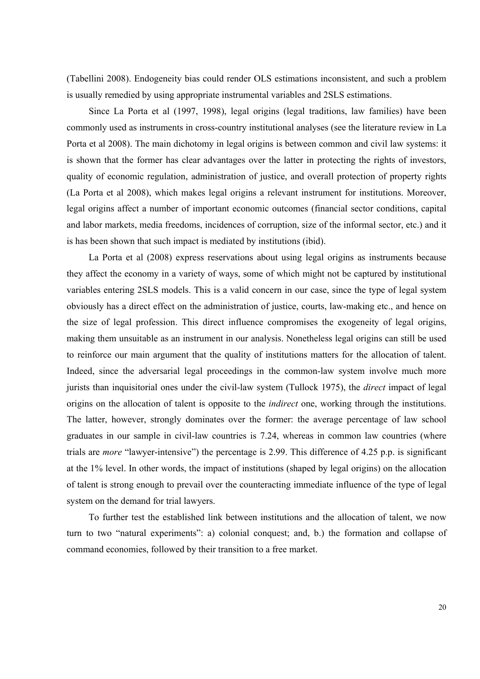(Tabellini 2008). Endogeneity bias could render OLS estimations inconsistent, and such a problem is usually remedied by using appropriate instrumental variables and 2SLS estimations.

Since La Porta et al (1997, 1998), legal origins (legal traditions, law families) have been commonly used as instruments in cross-country institutional analyses (see the literature review in La Porta et al 2008). The main dichotomy in legal origins is between common and civil law systems: it is shown that the former has clear advantages over the latter in protecting the rights of investors, quality of economic regulation, administration of justice, and overall protection of property rights (La Porta et al 2008), which makes legal origins a relevant instrument for institutions. Moreover, legal origins affect a number of important economic outcomes (financial sector conditions, capital and labor markets, media freedoms, incidences of corruption, size of the informal sector, etc.) and it is has been shown that such impact is mediated by institutions (ibid).

La Porta et al (2008) express reservations about using legal origins as instruments because they affect the economy in a variety of ways, some of which might not be captured by institutional variables entering 2SLS models. This is a valid concern in our case, since the type of legal system obviously has a direct effect on the administration of justice, courts, law-making etc., and hence on the size of legal profession. This direct influence compromises the exogeneity of legal origins, making them unsuitable as an instrument in our analysis. Nonetheless legal origins can still be used to reinforce our main argument that the quality of institutions matters for the allocation of talent. Indeed, since the adversarial legal proceedings in the common-law system involve much more jurists than inquisitorial ones under the civil-law system (Tullock 1975), the *direct* impact of legal origins on the allocation of talent is opposite to the *indirect* one, working through the institutions. The latter, however, strongly dominates over the former: the average percentage of law school graduates in our sample in civil-law countries is 7.24, whereas in common law countries (where trials are *more* "lawyer-intensive") the percentage is 2.99. This difference of 4.25 p.p. is significant at the 1% level. In other words, the impact of institutions (shaped by legal origins) on the allocation of talent is strong enough to prevail over the counteracting immediate influence of the type of legal system on the demand for trial lawyers.

To further test the established link between institutions and the allocation of talent, we now turn to two "natural experiments": a) colonial conquest; and, b.) the formation and collapse of command economies, followed by their transition to a free market.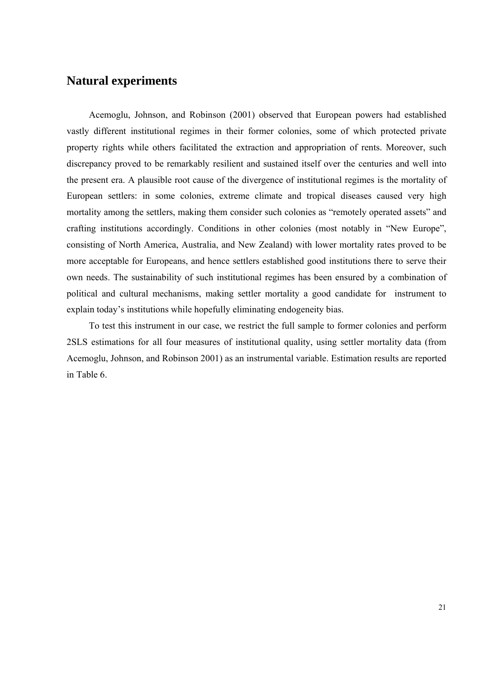## **Natural experiments**

Acemoglu, Johnson, and Robinson (2001) observed that European powers had established vastly different institutional regimes in their former colonies, some of which protected private property rights while others facilitated the extraction and appropriation of rents. Moreover, such discrepancy proved to be remarkably resilient and sustained itself over the centuries and well into the present era. A plausible root cause of the divergence of institutional regimes is the mortality of European settlers: in some colonies, extreme climate and tropical diseases caused very high mortality among the settlers, making them consider such colonies as "remotely operated assets" and crafting institutions accordingly. Conditions in other colonies (most notably in "New Europe", consisting of North America, Australia, and New Zealand) with lower mortality rates proved to be more acceptable for Europeans, and hence settlers established good institutions there to serve their own needs. The sustainability of such institutional regimes has been ensured by a combination of political and cultural mechanisms, making settler mortality a good candidate for instrument to explain today's institutions while hopefully eliminating endogeneity bias.

To test this instrument in our case, we restrict the full sample to former colonies and perform 2SLS estimations for all four measures of institutional quality, using settler mortality data (from Acemoglu, Johnson, and Robinson 2001) as an instrumental variable. Estimation results are reported in Table 6.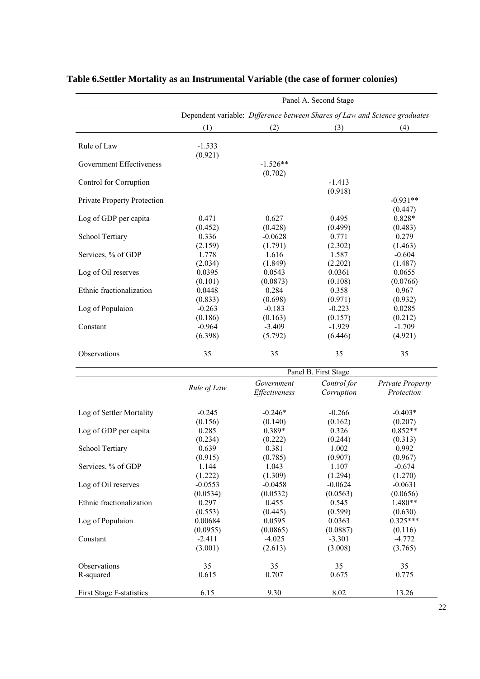|                                 | Panel A. Second Stage |                                                                            |                           |                                       |  |
|---------------------------------|-----------------------|----------------------------------------------------------------------------|---------------------------|---------------------------------------|--|
|                                 |                       | Dependent variable: Difference between Shares of Law and Science graduates |                           |                                       |  |
|                                 | (1)                   | (2)                                                                        | (3)                       | (4)                                   |  |
| Rule of Law                     | $-1.533$              |                                                                            |                           |                                       |  |
| Government Effectiveness        | (0.921)               | $-1.526**$                                                                 |                           |                                       |  |
|                                 |                       | (0.702)                                                                    |                           |                                       |  |
| Control for Corruption          |                       |                                                                            | $-1.413$<br>(0.918)       |                                       |  |
| Private Property Protection     |                       |                                                                            |                           | $-0.931**$                            |  |
|                                 |                       |                                                                            |                           | (0.447)                               |  |
| Log of GDP per capita           | 0.471                 | 0.627                                                                      | 0.495                     | 0.828*                                |  |
|                                 | (0.452)               | (0.428)                                                                    | (0.499)                   | (0.483)<br>0.279                      |  |
| School Tertiary                 | 0.336                 | $-0.0628$                                                                  | 0.771                     |                                       |  |
|                                 | (2.159)               | (1.791)                                                                    | (2.302)<br>1.587          | (1.463)                               |  |
| Services, % of GDP              | 1.778                 | 1.616                                                                      |                           | $-0.604$                              |  |
|                                 | (2.034)               | (1.849)                                                                    | (2.202)                   | (1.487)                               |  |
| Log of Oil reserves             | 0.0395                | 0.0543                                                                     | 0.0361                    | 0.0655                                |  |
|                                 | (0.101)               | (0.0873)                                                                   | (0.108)                   | (0.0766)                              |  |
| Ethnic fractionalization        | 0.0448                | 0.284                                                                      | 0.358                     | 0.967                                 |  |
|                                 | (0.833)               | (0.698)                                                                    | (0.971)                   | (0.932)                               |  |
| Log of Populaion                | $-0.263$              | $-0.183$                                                                   | $-0.223$                  | 0.0285                                |  |
|                                 | (0.186)               | (0.163)                                                                    | (0.157)                   | (0.212)                               |  |
| Constant                        | $-0.964$              | $-3.409$                                                                   | $-1.929$                  | $-1.709$                              |  |
|                                 | (6.398)               | (5.792)                                                                    | (6.446)                   | (4.921)                               |  |
| Observations                    | 35                    | 35                                                                         | 35                        | 35                                    |  |
|                                 |                       |                                                                            | Panel B. First Stage      |                                       |  |
|                                 | Rule of Law           | Government<br>Effectiveness                                                | Control for<br>Corruption | <b>Private Property</b><br>Protection |  |
| Log of Settler Mortality        | $-0.245$              | $-0.246*$                                                                  | $-0.266$                  | $-0.403*$                             |  |
|                                 | (0.156)               | (0.140)                                                                    | (0.162)                   | (0.207)                               |  |
| Log of GDP per capita           | 0.285                 | 0.389*                                                                     | 0.326                     | $0.852**$                             |  |
|                                 | (0.234)               | (0.222)                                                                    | (0.244)                   | (0.313)                               |  |
| School Tertiary                 | 0.639                 | 0.381                                                                      | 1.002                     | 0.992                                 |  |
|                                 | (0.915)               | (0.785)                                                                    | (0.907)                   | (0.967)                               |  |
| Services, % of GDP              | 1.144                 | 1.043                                                                      | 1.107                     | $-0.674$                              |  |
|                                 | (1.222)               | (1.309)                                                                    | (1.294)                   | (1.270)                               |  |
| Log of Oil reserves             | $-0.0553$             | $-0.0458$                                                                  | $-0.0624$                 | $-0.0631$                             |  |
|                                 | (0.0534)              | (0.0532)                                                                   | (0.0563)                  | (0.0656)                              |  |
| Ethnic fractionalization        | 0.297                 | 0.455                                                                      | 0.545                     | 1.480**                               |  |
|                                 | (0.553)               | (0.445)                                                                    | (0.599)                   | (0.630)                               |  |
| Log of Populaion                | 0.00684               | 0.0595                                                                     | 0.0363                    | $0.325***$                            |  |
|                                 |                       |                                                                            |                           |                                       |  |
|                                 | (0.0955)              | (0.0865)<br>$-4.025$                                                       | (0.0887)                  | (0.116)                               |  |
| Constant                        | $-2.411$              |                                                                            | $-3.301$                  | $-4.772$                              |  |
|                                 | (3.001)               | (2.613)                                                                    | (3.008)                   | (3.765)                               |  |
| Observations                    | 35                    | 35                                                                         | 35                        | 35                                    |  |
| R-squared                       | 0.615                 | 0.707                                                                      | 0.675                     | 0.775                                 |  |
| <b>First Stage F-statistics</b> | 6.15                  | 9.30                                                                       | 8.02                      | 13.26                                 |  |
|                                 |                       |                                                                            |                           |                                       |  |

## **Table 6.Settler Mortality as an Instrumental Variable (the case of former colonies)**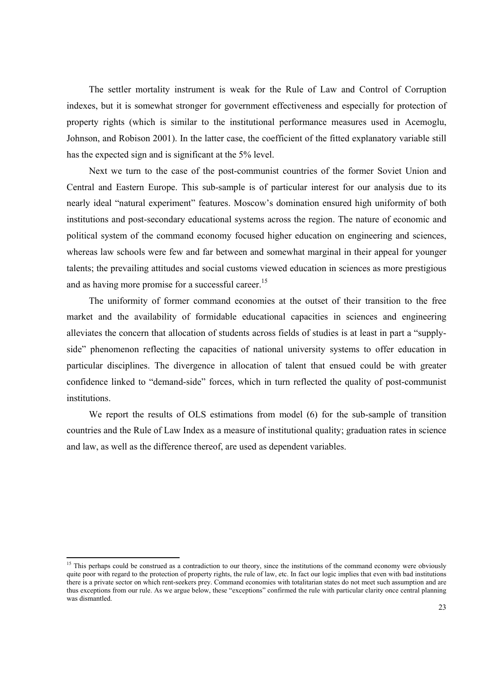The settler mortality instrument is weak for the Rule of Law and Control of Corruption indexes, but it is somewhat stronger for government effectiveness and especially for protection of property rights (which is similar to the institutional performance measures used in Acemoglu, Johnson, and Robison 2001). In the latter case, the coefficient of the fitted explanatory variable still has the expected sign and is significant at the 5% level.

Next we turn to the case of the post-communist countries of the former Soviet Union and Central and Eastern Europe. This sub-sample is of particular interest for our analysis due to its nearly ideal "natural experiment" features. Moscow's domination ensured high uniformity of both institutions and post-secondary educational systems across the region. The nature of economic and political system of the command economy focused higher education on engineering and sciences, whereas law schools were few and far between and somewhat marginal in their appeal for younger talents; the prevailing attitudes and social customs viewed education in sciences as more prestigious and as having more promise for a successful career.<sup>15</sup>

The uniformity of former command economies at the outset of their transition to the free market and the availability of formidable educational capacities in sciences and engineering alleviates the concern that allocation of students across fields of studies is at least in part a "supplyside" phenomenon reflecting the capacities of national university systems to offer education in particular disciplines. The divergence in allocation of talent that ensued could be with greater confidence linked to "demand-side" forces, which in turn reflected the quality of post-communist institutions.

We report the results of OLS estimations from model (6) for the sub-sample of transition countries and the Rule of Law Index as a measure of institutional quality; graduation rates in science and law, as well as the difference thereof, are used as dependent variables.

<u> Alexandria de la construcción de la construcción de la construcción de la construcción de la construcción de</u>

<sup>&</sup>lt;sup>15</sup> This perhaps could be construed as a contradiction to our theory, since the institutions of the command economy were obviously quite poor with regard to the protection of property rights, the rule of law, etc. In fact our logic implies that even with bad institutions there is a private sector on which rent-seekers prey. Command economies with totalitarian states do not meet such assumption and are thus exceptions from our rule. As we argue below, these "exceptions" confirmed the rule with particular clarity once central planning was dismantled.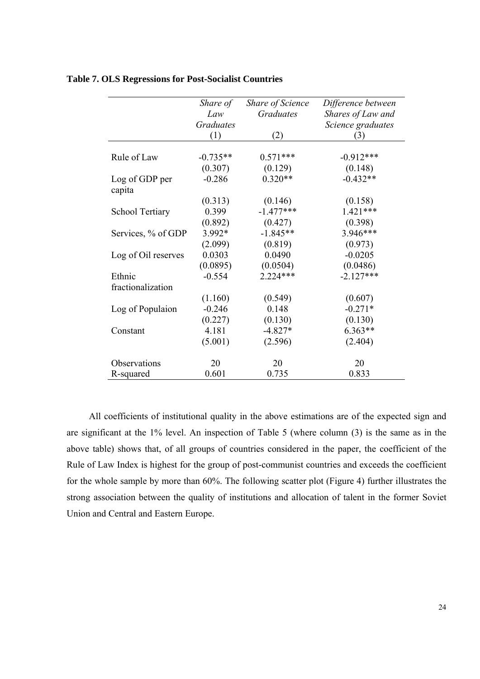|                        | Share of         | Share of Science | Difference between |
|------------------------|------------------|------------------|--------------------|
|                        | Law              | <b>Graduates</b> | Shares of Law and  |
|                        | <b>Graduates</b> |                  | Science graduates  |
|                        | (1)              | (2)              | (3)                |
|                        |                  |                  |                    |
| Rule of Law            | $-0.735**$       | $0.571***$       | $-0.912***$        |
|                        | (0.307)          | (0.129)          | (0.148)            |
| Log of GDP per         | $-0.286$         | $0.320**$        | $-0.432**$         |
| capita                 |                  |                  |                    |
|                        | (0.313)          | (0.146)          | (0.158)            |
| <b>School Tertiary</b> | 0.399            | $-1.477***$      | $1.421***$         |
|                        | (0.892)          | (0.427)          | (0.398)            |
| Services, % of GDP     | 3.992*           | $-1.845**$       | $3.946***$         |
|                        | (2.099)          | (0.819)          | (0.973)            |
| Log of Oil reserves    | 0.0303           | 0.0490           | $-0.0205$          |
|                        | (0.0895)         | (0.0504)         | (0.0486)           |
| Ethnic                 | $-0.554$         | $2.224***$       | $-2.127***$        |
| fractionalization      |                  |                  |                    |
|                        | (1.160)          | (0.549)          | (0.607)            |
| Log of Populaion       | $-0.246$         | 0.148            | $-0.271*$          |
|                        | (0.227)          | (0.130)          | (0.130)            |
| Constant               | 4.181            | $-4.827*$        | $6.363**$          |
|                        | (5.001)          | (2.596)          | (2.404)            |
|                        |                  |                  |                    |
| Observations           | 20               | 20               | 20                 |
| R-squared              | 0.601            | 0.735            | 0.833              |

#### **Table 7. OLS Regressions for Post-Socialist Countries**

All coefficients of institutional quality in the above estimations are of the expected sign and are significant at the 1% level. An inspection of Table 5 (where column (3) is the same as in the above table) shows that, of all groups of countries considered in the paper, the coefficient of the Rule of Law Index is highest for the group of post-communist countries and exceeds the coefficient for the whole sample by more than 60%. The following scatter plot (Figure 4) further illustrates the strong association between the quality of institutions and allocation of talent in the former Soviet Union and Central and Eastern Europe.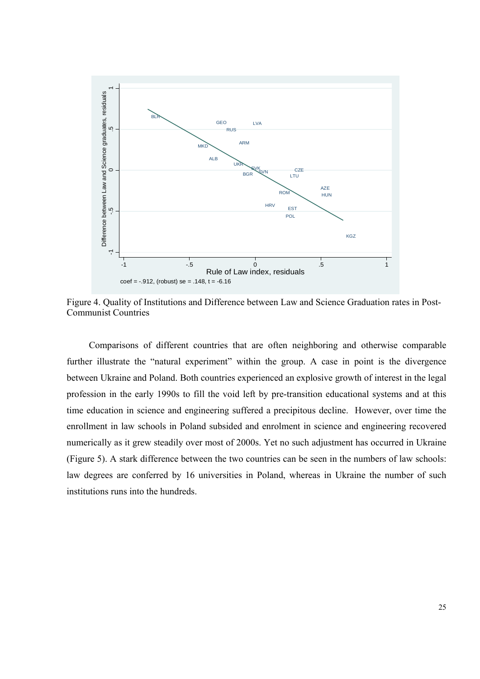

Figure 4. Quality of Institutions and Difference between Law and Science Graduation rates in Post-Communist Countries

Comparisons of different countries that are often neighboring and otherwise comparable further illustrate the "natural experiment" within the group. A case in point is the divergence between Ukraine and Poland. Both countries experienced an explosive growth of interest in the legal profession in the early 1990s to fill the void left by pre-transition educational systems and at this time education in science and engineering suffered a precipitous decline. However, over time the enrollment in law schools in Poland subsided and enrolment in science and engineering recovered numerically as it grew steadily over most of 2000s. Yet no such adjustment has occurred in Ukraine (Figure 5). A stark difference between the two countries can be seen in the numbers of law schools: law degrees are conferred by 16 universities in Poland, whereas in Ukraine the number of such institutions runs into the hundreds.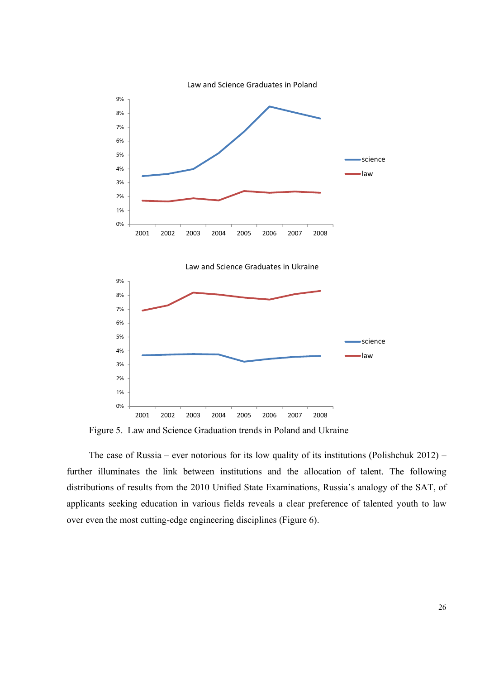

Figure 5. Law and Science Graduation trends in Poland and Ukraine

The case of Russia – ever notorious for its low quality of its institutions (Polishchuk 2012) – further illuminates the link between institutions and the allocation of talent. The following distributions of results from the 2010 Unified State Examinations, Russia's analogy of the SAT, of applicants seeking education in various fields reveals a clear preference of talented youth to law over even the most cutting-edge engineering disciplines (Figure 6).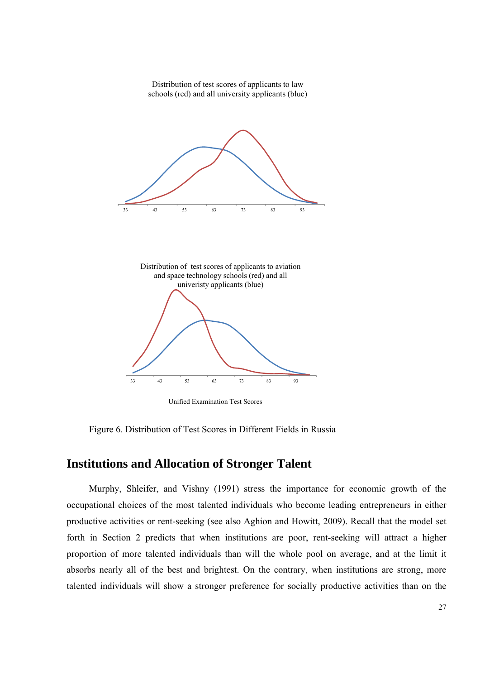

Unified Examination Test Scores

Figure 6. Distribution of Test Scores in Different Fields in Russia

## **Institutions and Allocation of Stronger Talent**

Murphy, Shleifer, and Vishny (1991) stress the importance for economic growth of the occupational choices of the most talented individuals who become leading entrepreneurs in either productive activities or rent-seeking (see also Aghion and Howitt, 2009). Recall that the model set forth in Section 2 predicts that when institutions are poor, rent-seeking will attract a higher proportion of more talented individuals than will the whole pool on average, and at the limit it absorbs nearly all of the best and brightest. On the contrary, when institutions are strong, more talented individuals will show a stronger preference for socially productive activities than on the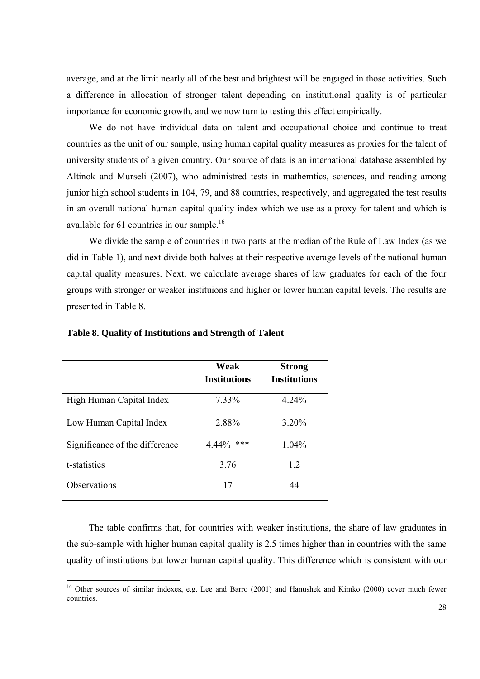average, and at the limit nearly all of the best and brightest will be engaged in those activities. Such a difference in allocation of stronger talent depending on institutional quality is of particular importance for economic growth, and we now turn to testing this effect empirically.

We do not have individual data on talent and occupational choice and continue to treat countries as the unit of our sample, using human capital quality measures as proxies for the talent of university students of a given country. Our source of data is an international database assembled by Altinok and Murseli (2007), who administred tests in mathemtics, sciences, and reading among junior high school students in 104, 79, and 88 countries, respectively, and aggregated the test results in an overall national human capital quality index which we use as a proxy for talent and which is available for  $61$  countries in our sample.<sup>16</sup>

We divide the sample of countries in two parts at the median of the Rule of Law Index (as we did in Table 1), and next divide both halves at their respective average levels of the national human capital quality measures. Next, we calculate average shares of law graduates for each of the four groups with stronger or weaker instituions and higher or lower human capital levels. The results are presented in Table 8.

|                                | Weak<br><b>Institutions</b> | <b>Strong</b><br><b>Institutions</b> |
|--------------------------------|-----------------------------|--------------------------------------|
| High Human Capital Index       | 7.33%                       | 4.24%                                |
| Low Human Capital Index        | 2.88%                       | 3.20%                                |
| Significance of the difference | $4.44\%$<br>***             | 1.04%                                |
| t-statistics                   | 3.76                        | 1.2                                  |
| Observations                   | 17                          | 44                                   |

#### **Table 8. Quality of Institutions and Strength of Talent**

The table confirms that, for countries with weaker institutions, the share of law graduates in the sub-sample with higher human capital quality is 2.5 times higher than in countries with the same quality of institutions but lower human capital quality. This difference which is consistent with our

<sup>&</sup>lt;sup>16</sup> Other sources of similar indexes, e.g. Lee and Barro (2001) and Hanushek and Kimko (2000) cover much fewer countries.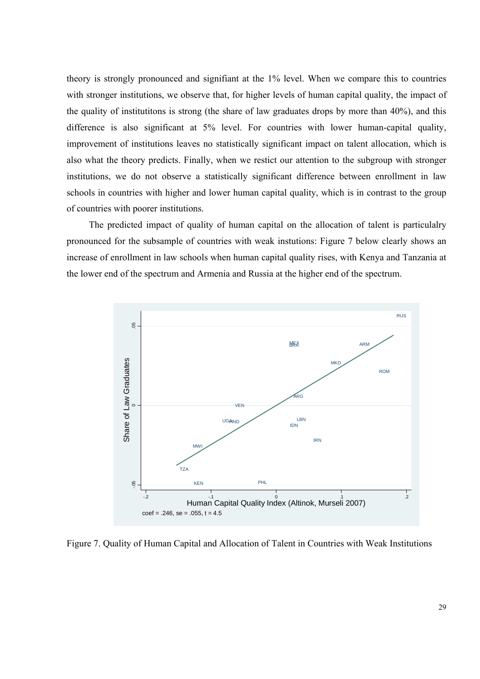theory is strongly pronounced and signifiant at the 1% level. When we compare this to countries with stronger institutions, we observe that, for higher levels of human capital quality, the impact of the quality of institutitons is strong (the share of law graduates drops by more than 40%), and this difference is also significant at 5% level. For countries with lower human-capital quality, improvement of institutions leaves no statistically significant impact on talent allocation, which is also what the theory predicts. Finally, when we restict our attention to the subgroup with stronger institutions, we do not observe a statistically significant difference between enrollment in law schools in countries with higher and lower human capital quality, which is in contrast to the group of countries with poorer institutions.

The predicted impact of quality of human capital on the allocation of talent is particulalry pronounced for the subsample of countries with weak instutions: Figure 7 below clearly shows an increase of enrollment in law schools when human capital quality rises, with Kenya and Tanzania at the lower end of the spectrum and Armenia and Russia at the higher end of the spectrum.



Figure 7. Quality of Human Capital and Allocation of Talent in Countries with Weak Institutions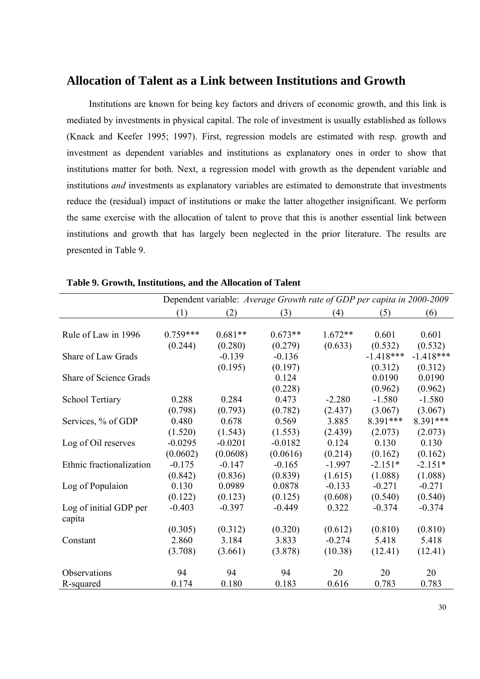## **Allocation of Talent as a Link between Institutions and Growth**

Institutions are known for being key factors and drivers of economic growth, and this link is mediated by investments in physical capital. The role of investment is usually established as follows (Knack and Keefer 1995; 1997). First, regression models are estimated with resp. growth and investment as dependent variables and institutions as explanatory ones in order to show that institutions matter for both. Next, a regression model with growth as the dependent variable and institutions *and* investments as explanatory variables are estimated to demonstrate that investments reduce the (residual) impact of institutions or make the latter altogether insignificant. We perform the same exercise with the allocation of talent to prove that this is another essential link between institutions and growth that has largely been neglected in the prior literature. The results are presented in Table 9.

|                               | Dependent variable: Average Growth rate of GDP per capita in 2000-2009 |           |           |           |             |             |
|-------------------------------|------------------------------------------------------------------------|-----------|-----------|-----------|-------------|-------------|
|                               | (1)                                                                    | (2)       | (3)       | (4)       | (5)         | (6)         |
|                               |                                                                        |           |           |           |             |             |
| Rule of Law in 1996           | $0.759***$                                                             | $0.681**$ | $0.673**$ | $1.672**$ | 0.601       | 0.601       |
|                               | (0.244)                                                                | (0.280)   | (0.279)   | (0.633)   | (0.532)     | (0.532)     |
| Share of Law Grads            |                                                                        | $-0.139$  | $-0.136$  |           | $-1.418***$ | $-1.418***$ |
|                               |                                                                        | (0.195)   | (0.197)   |           | (0.312)     | (0.312)     |
| <b>Share of Science Grads</b> |                                                                        |           | 0.124     |           | 0.0190      | 0.0190      |
|                               |                                                                        |           | (0.228)   |           | (0.962)     | (0.962)     |
| <b>School Tertiary</b>        | 0.288                                                                  | 0.284     | 0.473     | $-2.280$  | $-1.580$    | $-1.580$    |
|                               | (0.798)                                                                | (0.793)   | (0.782)   | (2.437)   | (3.067)     | (3.067)     |
| Services, % of GDP            | 0.480                                                                  | 0.678     | 0.569     | 3.885     | 8.391***    | 8.391***    |
|                               | (1.520)                                                                | (1.543)   | (1.553)   | (2.439)   | (2.073)     | (2.073)     |
| Log of Oil reserves           | $-0.0295$                                                              | $-0.0201$ | $-0.0182$ | 0.124     | 0.130       | 0.130       |
|                               | (0.0602)                                                               | (0.0608)  | (0.0616)  | (0.214)   | (0.162)     | (0.162)     |
| Ethnic fractionalization      | $-0.175$                                                               | $-0.147$  | $-0.165$  | $-1.997$  | $-2.151*$   | $-2.151*$   |
|                               | (0.842)                                                                | (0.836)   | (0.839)   | (1.615)   | (1.088)     | (1.088)     |
| Log of Populaion              | 0.130                                                                  | 0.0989    | 0.0878    | $-0.133$  | $-0.271$    | $-0.271$    |
|                               | (0.122)                                                                | (0.123)   | (0.125)   | (0.608)   | (0.540)     | (0.540)     |
| Log of initial GDP per        | $-0.403$                                                               | $-0.397$  | $-0.449$  | 0.322     | $-0.374$    | $-0.374$    |
| capita                        |                                                                        |           |           |           |             |             |
|                               | (0.305)                                                                | (0.312)   | (0.320)   | (0.612)   | (0.810)     | (0.810)     |
| Constant                      | 2.860                                                                  | 3.184     | 3.833     | $-0.274$  | 5.418       | 5.418       |
|                               | (3.708)                                                                | (3.661)   | (3.878)   | (10.38)   | (12.41)     | (12.41)     |
| Observations                  | 94                                                                     | 94        | 94        | 20        | 20          | 20          |
| R-squared                     | 0.174                                                                  | 0.180     | 0.183     | 0.616     | 0.783       | 0.783       |

**Table 9. Growth, Institutions, and the Allocation of Talent**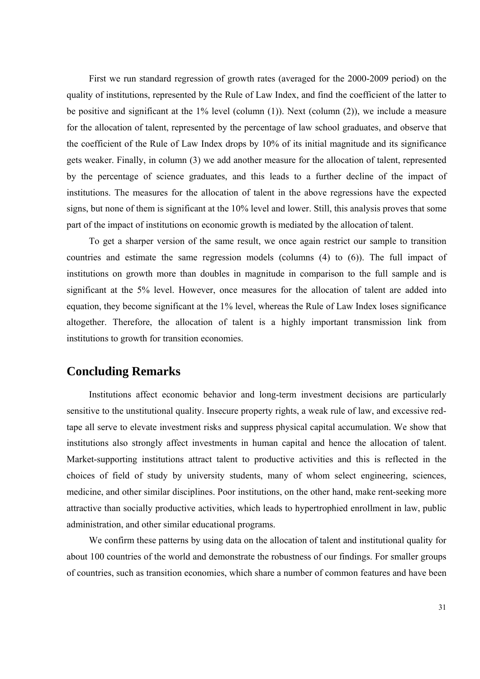First we run standard regression of growth rates (averaged for the 2000-2009 period) on the quality of institutions, represented by the Rule of Law Index, and find the coefficient of the latter to be positive and significant at the 1% level (column (1)). Next (column (2)), we include a measure for the allocation of talent, represented by the percentage of law school graduates, and observe that the coefficient of the Rule of Law Index drops by 10% of its initial magnitude and its significance gets weaker. Finally, in column (3) we add another measure for the allocation of talent, represented by the percentage of science graduates, and this leads to a further decline of the impact of institutions. The measures for the allocation of talent in the above regressions have the expected signs, but none of them is significant at the 10% level and lower. Still, this analysis proves that some part of the impact of institutions on economic growth is mediated by the allocation of talent.

To get a sharper version of the same result, we once again restrict our sample to transition countries and estimate the same regression models (columns (4) to (6)). The full impact of institutions on growth more than doubles in magnitude in comparison to the full sample and is significant at the 5% level. However, once measures for the allocation of talent are added into equation, they become significant at the 1% level, whereas the Rule of Law Index loses significance altogether. Therefore, the allocation of talent is a highly important transmission link from institutions to growth for transition economies.

## **Concluding Remarks**

Institutions affect economic behavior and long-term investment decisions are particularly sensitive to the unstitutional quality. Insecure property rights, a weak rule of law, and excessive redtape all serve to elevate investment risks and suppress physical capital accumulation. We show that institutions also strongly affect investments in human capital and hence the allocation of talent. Market-supporting institutions attract talent to productive activities and this is reflected in the choices of field of study by university students, many of whom select engineering, sciences, medicine, and other similar disciplines. Poor institutions, on the other hand, make rent-seeking more attractive than socially productive activities, which leads to hypertrophied enrollment in law, public administration, and other similar educational programs.

We confirm these patterns by using data on the allocation of talent and institutional quality for about 100 countries of the world and demonstrate the robustness of our findings. For smaller groups of countries, such as transition economies, which share a number of common features and have been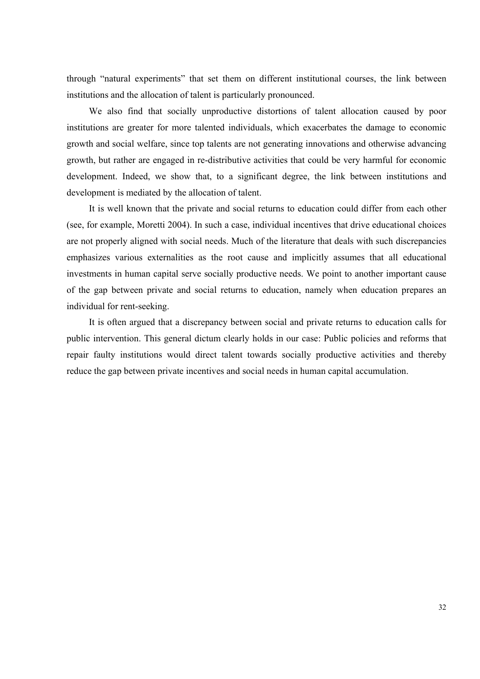through "natural experiments" that set them on different institutional courses, the link between institutions and the allocation of talent is particularly pronounced.

We also find that socially unproductive distortions of talent allocation caused by poor institutions are greater for more talented individuals, which exacerbates the damage to economic growth and social welfare, since top talents are not generating innovations and otherwise advancing growth, but rather are engaged in re-distributive activities that could be very harmful for economic development. Indeed, we show that, to a significant degree, the link between institutions and development is mediated by the allocation of talent.

It is well known that the private and social returns to education could differ from each other (see, for example, Moretti 2004). In such a case, individual incentives that drive educational choices are not properly aligned with social needs. Much of the literature that deals with such discrepancies emphasizes various externalities as the root cause and implicitly assumes that all educational investments in human capital serve socially productive needs. We point to another important cause of the gap between private and social returns to education, namely when education prepares an individual for rent-seeking.

It is often argued that a discrepancy between social and private returns to education calls for public intervention. This general dictum clearly holds in our case: Public policies and reforms that repair faulty institutions would direct talent towards socially productive activities and thereby reduce the gap between private incentives and social needs in human capital accumulation.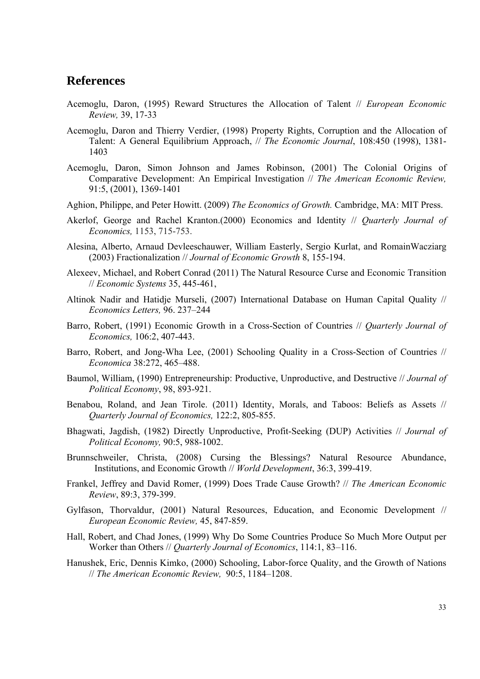## **References**

- Acemoglu, Daron, (1995) Reward Structures the Allocation of Talent // *European Economic Review,* 39, 17-33
- Acemoglu, Daron and Thierry Verdier, (1998) Property Rights, Corruption and the Allocation of Talent: A General Equilibrium Approach, // *The Economic Journal*, 108:450 (1998), 1381- 1403
- Acemoglu, Daron, Simon Johnson and James Robinson, (2001) The Colonial Origins of Comparative Development: An Empirical Investigation // *The American Economic Review,*  91:5, (2001), 1369-1401
- Aghion, Philippe, and Peter Howitt. (2009) *The Economics of Growth.* Cambridge, MA: MIT Press.
- Akerlof, George and Rachel Kranton.(2000) Economics and Identity // *Quarterly Journal of Economics,* 1153, 715-753.
- Alesina, Alberto, Arnaud Devleeschauwer, William Easterly, Sergio Kurlat, and RomainWacziarg (2003) Fractionalization // *Journal of Economic Growth* 8, 155-194.
- Alexeev, Michael, and Robert Conrad (2011) The Natural Resource Curse and Economic Transition // *Economic Systems* 35, 445-461,
- Altinok Nadir and Hatidje Murseli, (2007) International Database on Human Capital Quality // *Economics Letters,* 96. 237–244
- Barro, Robert, (1991) Economic Growth in a Cross-Section of Countries // *Quarterly Journal of Economics,* 106:2, 407-443.
- Barro, Robert, and Jong-Wha Lee, (2001) Schooling Quality in a Cross-Section of Countries // *Economica* 38:272, 465–488.
- Baumol, William, (1990) Entrepreneurship: Productive, Unproductive, and Destructive // *Journal of Political Economy*, 98, 893-921.
- Benabou, Roland, and Jean Tirole. (2011) Identity, Morals, and Taboos: Beliefs as Assets // *Quarterly Journal of Economics,* 122:2, 805-855.
- Bhagwati, Jagdish, (1982) Directly Unproductive, Profit-Seeking (DUP) Activities // *Journal of Political Economy,* 90:5, 988-1002.
- Brunnschweiler, Christa, (2008) Cursing the Blessings? Natural Resource Abundance, Institutions, and Economic Growth // *World Development*, 36:3, 399-419.
- Frankel, Jeffrey and David Romer, (1999) Does Trade Cause Growth? // *The American Economic Review*, 89:3, 379-399.
- Gylfason, Thorvaldur, (2001) Natural Resources, Education, and Economic Development // *European Economic Review,* 45, 847-859.
- Hall, Robert, and Chad Jones, (1999) Why Do Some Countries Produce So Much More Output per Worker than Others // *Quarterly Journal of Economics*, 114:1, 83–116.
- Hanushek, Eric, Dennis Kimko, (2000) Schooling, Labor-force Quality, and the Growth of Nations // *The American Economic Review,* 90:5, 1184–1208.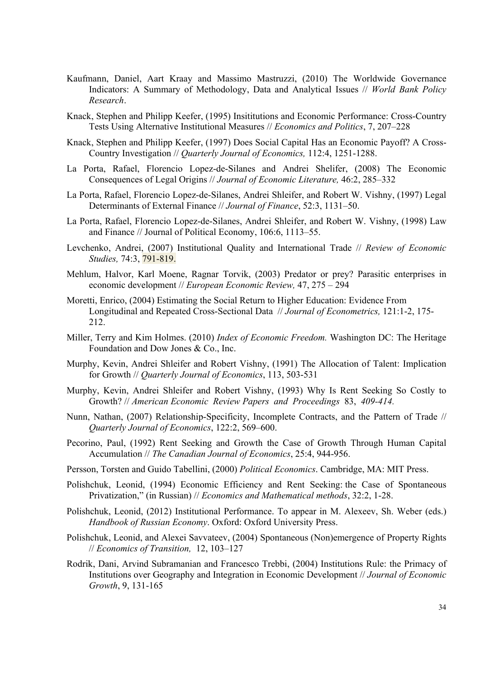- Kaufmann, Daniel, Aart Kraay and Massimo Mastruzzi, (2010) The Worldwide Governance Indicators: A Summary of Methodology, Data and Analytical Issues // *World Bank Policy Research*.
- Knack, Stephen and Philipp Keefer, (1995) Insititutions and Economic Performance: Cross-Country Tests Using Alternative Institutional Measures // *Economics and Politics*, 7, 207–228
- Knack, Stephen and Philipp Keefer, (1997) Does Social Capital Has an Economic Payoff? A Cross-Country Investigation // *Quarterly Journal of Economics,* 112:4, 1251-1288.
- La Porta, Rafael, Florencio Lopez-de-Silanes and Andrei Shelifer, (2008) The Economic Consequences of Legal Origins // *Journal of Economic Literature,* 46:2, 285–332
- La Porta, Rafael, Florencio Lopez-de-Silanes, Andrei Shleifer, and Robert W. Vishny, (1997) Legal Determinants of External Finance // *Journal of Finance*, 52:3, 1131–50.
- La Porta, Rafael, Florencio Lopez-de-Silanes, Andrei Shleifer, and Robert W. Vishny, (1998) Law and Finance // Journal of Political Economy, 106:6, 1113–55.
- Levchenko, Andrei, (2007) Institutional Quality and International Trade // *Review of Economic Studies,* 74:3, 791-819.
- Mehlum, Halvor, Karl Moene, Ragnar Torvik, (2003) Predator or prey? Parasitic enterprises in economic development // *European Economic Review,* 47, 275 – 294
- Moretti, Enrico, (2004) Estimating the Social Return to Higher Education: Evidence From Longitudinal and Repeated Cross-Sectional Data // *Journal of Econometrics,* 121:1-2, 175- 212.
- Miller, Terry and Kim Holmes. (2010) *Index of Economic Freedom.* Washington DC: The Heritage Foundation and Dow Jones & Co., Inc.
- Murphy, Kevin, Andrei Shleifer and Robert Vishny, (1991) The Allocation of Talent: Implication for Growth // *Quarterly Journal of Economics*, 113, 503-531
- Murphy, Kevin, Andrei Shleifer and Robert Vishny, (1993) Why Is Rent Seeking So Costly to Growth? // *American Economic Review Papers and Proceedings* 83, *409-414.*
- Nunn, Nathan, (2007) Relationship-Specificity, Incomplete Contracts, and the Pattern of Trade // *Quarterly Journal of Economics*, 122:2, 569–600.
- Pecorino, Paul, (1992) Rent Seeking and Growth the Case of Growth Through Human Capital Accumulation // *The Canadian Journal of Economics*, 25:4, 944-956.
- Persson, Torsten and Guido Tabellini, (2000) *Political Economics*. Cambridge, MA: MIT Press.
- Polishchuk, Leonid, (1994) Economic Efficiency and Rent Seeking: the Case of Spontaneous Privatization," (in Russian) // *Economics and Mathematical methods*, 32:2, 1-28.
- Polishchuk, Leonid, (2012) Institutional Performance. To appear in M. Alexeev, Sh. Weber (eds.) *Handbook of Russian Economy*. Oxford: Oxford University Press.
- Polishchuk, Leonid, and Alexei Savvateev, (2004) Spontaneous (Non)emergence of Property Rights // *Economics of Transition,* 12, 103–127
- Rodrik, Dani, Arvind Subramanian and Francesco Trebbi, (2004) Institutions Rule: the Primacy of Institutions over Geography and Integration in Economic Development // *Journal of Economic Growth*, 9, 131-165